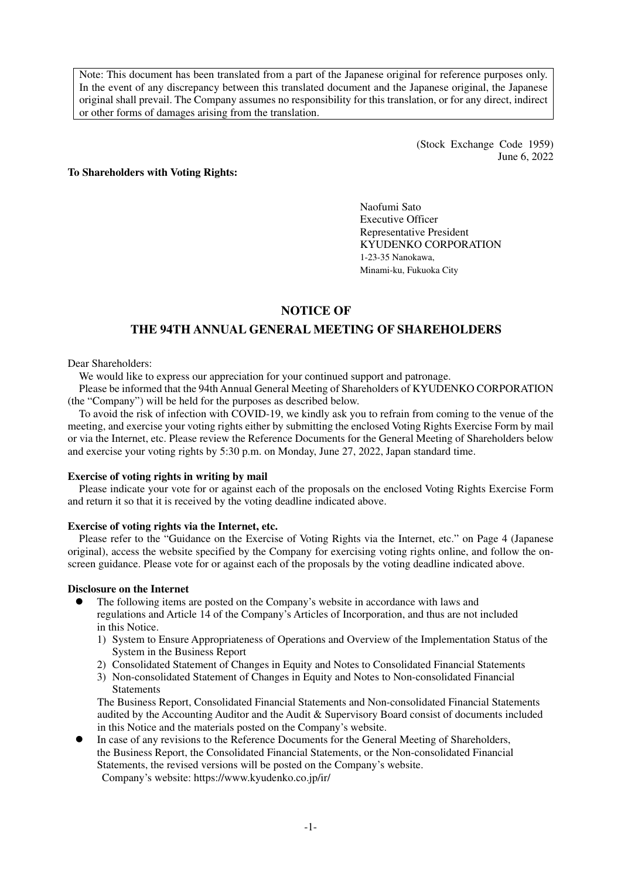Note: This document has been translated from a part of the Japanese original for reference purposes only. In the event of any discrepancy between this translated document and the Japanese original, the Japanese original shall prevail. The Company assumes no responsibility for this translation, or for any direct, indirect or other forms of damages arising from the translation.

> (Stock Exchange Code 1959) June 6, 2022

#### **To Shareholders with Voting Rights:**

Naofumi Sato Executive Officer Representative President KYUDENKO CORPORATION 1-23-35 Nanokawa, Minami-ku, Fukuoka City

## **NOTICE OF**

## **THE 94TH ANNUAL GENERAL MEETING OF SHAREHOLDERS**

#### Dear Shareholders:

We would like to express our appreciation for your continued support and patronage.

Please be informed that the 94th Annual General Meeting of Shareholders of KYUDENKO CORPORATION (the "Company") will be held for the purposes as described below.

To avoid the risk of infection with COVID-19, we kindly ask you to refrain from coming to the venue of the meeting, and exercise your voting rights either by submitting the enclosed Voting Rights Exercise Form by mail or via the Internet, etc. Please review the Reference Documents for the General Meeting of Shareholders below and exercise your voting rights by 5:30 p.m. on Monday, June 27, 2022, Japan standard time.

#### **Exercise of voting rights in writing by mail**

Please indicate your vote for or against each of the proposals on the enclosed Voting Rights Exercise Form and return it so that it is received by the voting deadline indicated above.

#### **Exercise of voting rights via the Internet, etc.**

Please refer to the "Guidance on the Exercise of Voting Rights via the Internet, etc." on Page 4 (Japanese original), access the website specified by the Company for exercising voting rights online, and follow the onscreen guidance. Please vote for or against each of the proposals by the voting deadline indicated above.

#### **Disclosure on the Internet**

- The following items are posted on the Company's website in accordance with laws and regulations and Article 14 of the Company's Articles of Incorporation, and thus are not included in this Notice.
	- 1) System to Ensure Appropriateness of Operations and Overview of the Implementation Status of the System in the Business Report
	- 2) Consolidated Statement of Changes in Equity and Notes to Consolidated Financial Statements
	- 3) Non-consolidated Statement of Changes in Equity and Notes to Non-consolidated Financial Statements

The Business Report, Consolidated Financial Statements and Non-consolidated Financial Statements audited by the Accounting Auditor and the Audit & Supervisory Board consist of documents included in this Notice and the materials posted on the Company's website.

 In case of any revisions to the Reference Documents for the General Meeting of Shareholders, the Business Report, the Consolidated Financial Statements, or the Non-consolidated Financial Statements, the revised versions will be posted on the Company's website. Company's website: https://www.kyudenko.co.jp/ir/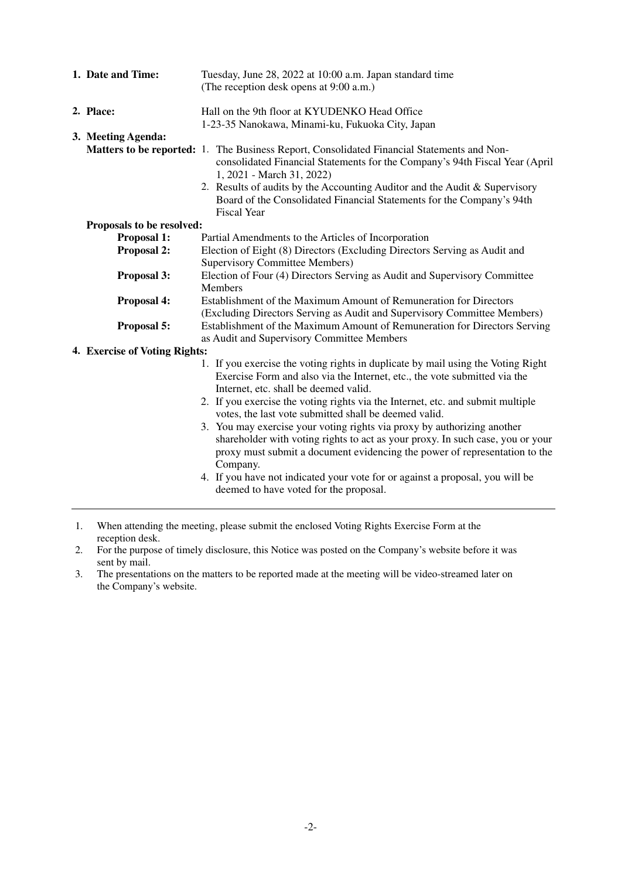| 1. Date and Time:             | Tuesday, June 28, 2022 at 10:00 a.m. Japan standard time<br>(The reception desk opens at 9:00 a.m.)                                                                                                                                                                                                                                                                                 |
|-------------------------------|-------------------------------------------------------------------------------------------------------------------------------------------------------------------------------------------------------------------------------------------------------------------------------------------------------------------------------------------------------------------------------------|
| 2. Place:                     | Hall on the 9th floor at KYUDENKO Head Office<br>1-23-35 Nanokawa, Minami-ku, Fukuoka City, Japan                                                                                                                                                                                                                                                                                   |
| 3. Meeting Agenda:            | Matters to be reported: 1. The Business Report, Consolidated Financial Statements and Non-<br>consolidated Financial Statements for the Company's 94th Fiscal Year (April<br>1, 2021 - March 31, 2022)<br>2. Results of audits by the Accounting Auditor and the Audit & Supervisory<br>Board of the Consolidated Financial Statements for the Company's 94th<br><b>Fiscal Year</b> |
| Proposals to be resolved:     |                                                                                                                                                                                                                                                                                                                                                                                     |
| Proposal 1:                   | Partial Amendments to the Articles of Incorporation                                                                                                                                                                                                                                                                                                                                 |
| Proposal 2:                   | Election of Eight (8) Directors (Excluding Directors Serving as Audit and<br><b>Supervisory Committee Members)</b>                                                                                                                                                                                                                                                                  |
| Proposal 3:                   | Election of Four (4) Directors Serving as Audit and Supervisory Committee<br><b>Members</b>                                                                                                                                                                                                                                                                                         |
| Proposal 4:                   | Establishment of the Maximum Amount of Remuneration for Directors<br>(Excluding Directors Serving as Audit and Supervisory Committee Members)                                                                                                                                                                                                                                       |
| Proposal 5:                   | Establishment of the Maximum Amount of Remuneration for Directors Serving<br>as Audit and Supervisory Committee Members                                                                                                                                                                                                                                                             |
| 4. Exercise of Voting Rights: |                                                                                                                                                                                                                                                                                                                                                                                     |
|                               | 1. If you exercise the voting rights in duplicate by mail using the Voting Right<br>Exercise Form and also via the Internet, etc., the vote submitted via the<br>Internet, etc. shall be deemed valid.<br>2. If you exercise the voting rights via the Internet, etc. and submit multiple<br>votes, the last vote submitted shall be deemed valid.                                  |
|                               | 3. You may exercise your voting rights via proxy by authorizing another<br>shareholder with voting rights to act as your proxy. In such case, you or your<br>proxy must submit a document evidencing the power of representation to the<br>Company.                                                                                                                                 |
|                               | 4. If you have not indicated your vote for or against a proposal, you will be<br>deemed to have voted for the proposal.                                                                                                                                                                                                                                                             |

1. When attending the meeting, please submit the enclosed Voting Rights Exercise Form at the reception desk.

2. For the purpose of timely disclosure, this Notice was posted on the Company's website before it was sent by mail.

3. The presentations on the matters to be reported made at the meeting will be video-streamed later on the Company's website.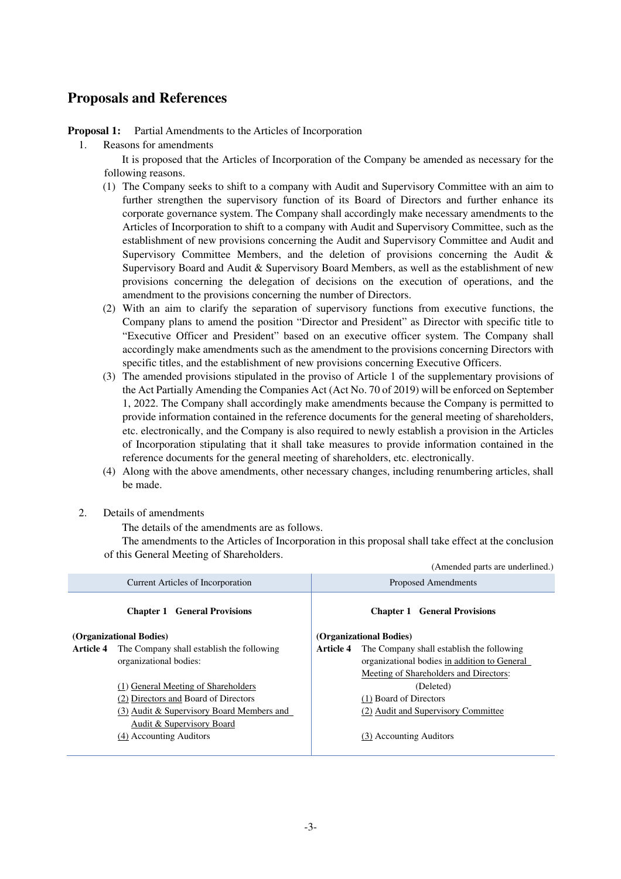# **Proposals and References**

**Proposal 1:** Partial Amendments to the Articles of Incorporation

1. Reasons for amendments

It is proposed that the Articles of Incorporation of the Company be amended as necessary for the following reasons.

- (1) The Company seeks to shift to a company with Audit and Supervisory Committee with an aim to further strengthen the supervisory function of its Board of Directors and further enhance its corporate governance system. The Company shall accordingly make necessary amendments to the Articles of Incorporation to shift to a company with Audit and Supervisory Committee, such as the establishment of new provisions concerning the Audit and Supervisory Committee and Audit and Supervisory Committee Members, and the deletion of provisions concerning the Audit  $\&$ Supervisory Board and Audit & Supervisory Board Members, as well as the establishment of new provisions concerning the delegation of decisions on the execution of operations, and the amendment to the provisions concerning the number of Directors.
- (2) With an aim to clarify the separation of supervisory functions from executive functions, the Company plans to amend the position "Director and President" as Director with specific title to "Executive Officer and President" based on an executive officer system. The Company shall accordingly make amendments such as the amendment to the provisions concerning Directors with specific titles, and the establishment of new provisions concerning Executive Officers.
- (3) The amended provisions stipulated in the proviso of Article 1 of the supplementary provisions of the Act Partially Amending the Companies Act (Act No. 70 of 2019) will be enforced on September 1, 2022. The Company shall accordingly make amendments because the Company is permitted to provide information contained in the reference documents for the general meeting of shareholders, etc. electronically, and the Company is also required to newly establish a provision in the Articles of Incorporation stipulating that it shall take measures to provide information contained in the reference documents for the general meeting of shareholders, etc. electronically.
- (4) Along with the above amendments, other necessary changes, including renumbering articles, shall be made.
- 2. Details of amendments

The details of the amendments are as follows.

The amendments to the Articles of Incorporation in this proposal shall take effect at the conclusion of this General Meeting of Shareholders.

|                                     |                                           |                                     | (Amended parts are underlined.)              |
|-------------------------------------|-------------------------------------------|-------------------------------------|----------------------------------------------|
| Current Articles of Incorporation   |                                           | <b>Proposed Amendments</b>          |                                              |
| <b>Chapter 1 General Provisions</b> |                                           | <b>Chapter 1 General Provisions</b> |                                              |
| (Organizational Bodies)             |                                           | (Organizational Bodies)             |                                              |
| Article 4                           | The Company shall establish the following | <b>Article 4</b>                    | The Company shall establish the following    |
|                                     | organizational bodies:                    |                                     | organizational bodies in addition to General |
|                                     |                                           |                                     | Meeting of Shareholders and Directors:       |
|                                     | (1) General Meeting of Shareholders       |                                     | (Deleted)                                    |
|                                     | (2) Directors and Board of Directors      |                                     | (1) Board of Directors                       |
|                                     | (3) Audit & Supervisory Board Members and |                                     | (2) Audit and Supervisory Committee          |
|                                     | Audit & Supervisory Board                 |                                     |                                              |
|                                     | (4) Accounting Auditors                   |                                     | (3) Accounting Auditors                      |
|                                     |                                           |                                     |                                              |
|                                     |                                           |                                     |                                              |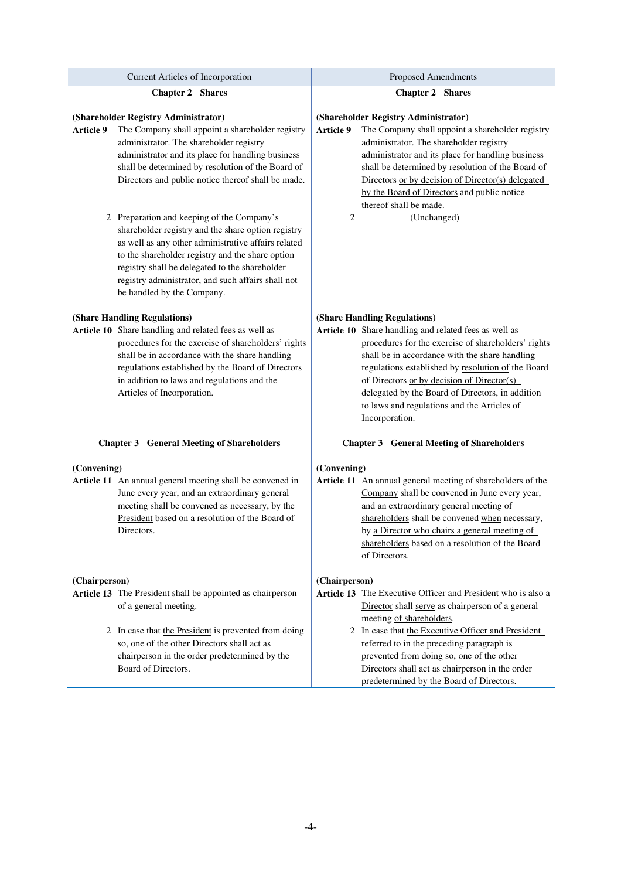| Current Articles of Incorporation                                                                                                                                                                                                                                                                                                                 | <b>Proposed Amendments</b>                                                                                                                                                                                                                                                                                                                                                                                              |  |  |
|---------------------------------------------------------------------------------------------------------------------------------------------------------------------------------------------------------------------------------------------------------------------------------------------------------------------------------------------------|-------------------------------------------------------------------------------------------------------------------------------------------------------------------------------------------------------------------------------------------------------------------------------------------------------------------------------------------------------------------------------------------------------------------------|--|--|
| <b>Chapter 2 Shares</b>                                                                                                                                                                                                                                                                                                                           | <b>Chapter 2 Shares</b>                                                                                                                                                                                                                                                                                                                                                                                                 |  |  |
| (Shareholder Registry Administrator)<br>Article 9<br>The Company shall appoint a shareholder registry<br>administrator. The shareholder registry<br>administrator and its place for handling business<br>shall be determined by resolution of the Board of<br>Directors and public notice thereof shall be made.                                  | (Shareholder Registry Administrator)<br>Article 9<br>The Company shall appoint a shareholder registry<br>administrator. The shareholder registry<br>administrator and its place for handling business<br>shall be determined by resolution of the Board of<br>Directors or by decision of Director(s) delegated<br>by the Board of Directors and public notice<br>thereof shall be made.                                |  |  |
| 2 Preparation and keeping of the Company's<br>shareholder registry and the share option registry<br>as well as any other administrative affairs related<br>to the shareholder registry and the share option<br>registry shall be delegated to the shareholder<br>registry administrator, and such affairs shall not<br>be handled by the Company. | 2<br>(Unchanged)                                                                                                                                                                                                                                                                                                                                                                                                        |  |  |
| (Share Handling Regulations)<br>Article 10 Share handling and related fees as well as<br>procedures for the exercise of shareholders' rights<br>shall be in accordance with the share handling<br>regulations established by the Board of Directors<br>in addition to laws and regulations and the<br>Articles of Incorporation.                  | (Share Handling Regulations)<br>Article 10 Share handling and related fees as well as<br>procedures for the exercise of shareholders' rights<br>shall be in accordance with the share handling<br>regulations established by resolution of the Board<br>of Directors or by decision of Director(s)<br>delegated by the Board of Directors, in addition<br>to laws and regulations and the Articles of<br>Incorporation. |  |  |
| <b>Chapter 3 General Meeting of Shareholders</b>                                                                                                                                                                                                                                                                                                  | <b>Chapter 3 General Meeting of Shareholders</b>                                                                                                                                                                                                                                                                                                                                                                        |  |  |
| (Convening)<br>Article 11 An annual general meeting shall be convened in<br>June every year, and an extraordinary general<br>meeting shall be convened as necessary, by the<br>President based on a resolution of the Board of<br>Directors.                                                                                                      | (Convening)<br>Article 11 An annual general meeting of shareholders of the<br>Company shall be convened in June every year,<br>and an extraordinary general meeting of<br>shareholders shall be convened when necessary,<br>by a Director who chairs a general meeting of<br>shareholders based on a resolution of the Board<br>of Directors.                                                                           |  |  |
| (Chairperson)<br>Article 13 The President shall be appointed as chairperson<br>of a general meeting.                                                                                                                                                                                                                                              | (Chairperson)<br>Article 13 The Executive Officer and President who is also a<br>Director shall serve as chairperson of a general<br>meeting of shareholders.                                                                                                                                                                                                                                                           |  |  |
| 2 In case that the President is prevented from doing<br>so, one of the other Directors shall act as<br>chairperson in the order predetermined by the<br>Board of Directors.                                                                                                                                                                       | 2 In case that the Executive Officer and President<br>referred to in the preceding paragraph is<br>prevented from doing so, one of the other<br>Directors shall act as chairperson in the order<br>predetermined by the Board of Directors.                                                                                                                                                                             |  |  |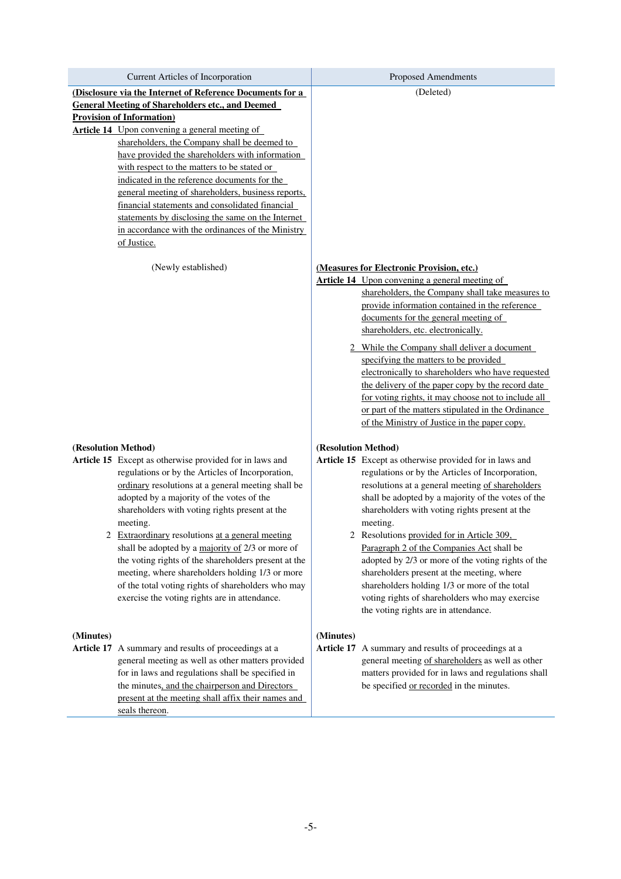| (Disclosure via the Internet of Reference Documents for a<br>(Deleted)<br><b>General Meeting of Shareholders etc., and Deemed</b>                                                                           |  |
|-------------------------------------------------------------------------------------------------------------------------------------------------------------------------------------------------------------|--|
|                                                                                                                                                                                                             |  |
|                                                                                                                                                                                                             |  |
| <b>Provision of Information)</b>                                                                                                                                                                            |  |
| <b>Article 14</b> Upon convening a general meeting of<br>shareholders, the Company shall be deemed to                                                                                                       |  |
| have provided the shareholders with information                                                                                                                                                             |  |
| with respect to the matters to be stated or                                                                                                                                                                 |  |
| indicated in the reference documents for the                                                                                                                                                                |  |
| general meeting of shareholders, business reports,                                                                                                                                                          |  |
| financial statements and consolidated financial                                                                                                                                                             |  |
| statements by disclosing the same on the Internet                                                                                                                                                           |  |
| in accordance with the ordinances of the Ministry<br>of Justice.                                                                                                                                            |  |
|                                                                                                                                                                                                             |  |
| (Measures for Electronic Provision, etc.)<br>(Newly established)                                                                                                                                            |  |
| <b>Article 14</b> Upon convening a general meeting of                                                                                                                                                       |  |
| shareholders, the Company shall take measures to                                                                                                                                                            |  |
| provide information contained in the reference                                                                                                                                                              |  |
| documents for the general meeting of                                                                                                                                                                        |  |
| shareholders, etc. electronically.                                                                                                                                                                          |  |
| While the Company shall deliver a document                                                                                                                                                                  |  |
| specifying the matters to be provided<br>electronically to shareholders who have requested                                                                                                                  |  |
| the delivery of the paper copy by the record date                                                                                                                                                           |  |
| for voting rights, it may choose not to include all                                                                                                                                                         |  |
| or part of the matters stipulated in the Ordinance                                                                                                                                                          |  |
| of the Ministry of Justice in the paper copy.                                                                                                                                                               |  |
|                                                                                                                                                                                                             |  |
| (Resolution Method)<br>(Resolution Method)<br>Article 15 Except as otherwise provided for in laws and<br>Article 15 Except as otherwise provided for in laws and                                            |  |
| regulations or by the Articles of Incorporation,<br>regulations or by the Articles of Incorporation,                                                                                                        |  |
| ordinary resolutions at a general meeting shall be<br>resolutions at a general meeting of shareholders                                                                                                      |  |
| adopted by a majority of the votes of the<br>shall be adopted by a majority of the votes of the                                                                                                             |  |
| shareholders with voting rights present at the<br>shareholders with voting rights present at the                                                                                                            |  |
| meeting.<br>meeting.                                                                                                                                                                                        |  |
| 2 Extraordinary resolutions at a general meeting<br>2 Resolutions provided for in Article 309,                                                                                                              |  |
| shall be adopted by a majority of 2/3 or more of<br>Paragraph 2 of the Companies Act shall be<br>the voting rights of the shareholders present at the<br>adopted by 2/3 or more of the voting rights of the |  |
| meeting, where shareholders holding 1/3 or more<br>shareholders present at the meeting, where                                                                                                               |  |
| of the total voting rights of shareholders who may<br>shareholders holding 1/3 or more of the total                                                                                                         |  |
| exercise the voting rights are in attendance.<br>voting rights of shareholders who may exercise                                                                                                             |  |
| the voting rights are in attendance.                                                                                                                                                                        |  |
|                                                                                                                                                                                                             |  |
| (Minutes)<br>(Minutes)<br>Article 17 A summary and results of proceedings at a                                                                                                                              |  |
| Article 17 A summary and results of proceedings at a<br>general meeting as well as other matters provided<br>general meeting of shareholders as well as other                                               |  |
| for in laws and regulations shall be specified in<br>matters provided for in laws and regulations shall                                                                                                     |  |
| the minutes, and the chairperson and Directors<br>be specified or recorded in the minutes.                                                                                                                  |  |
| present at the meeting shall affix their names and                                                                                                                                                          |  |
| seals thereon.                                                                                                                                                                                              |  |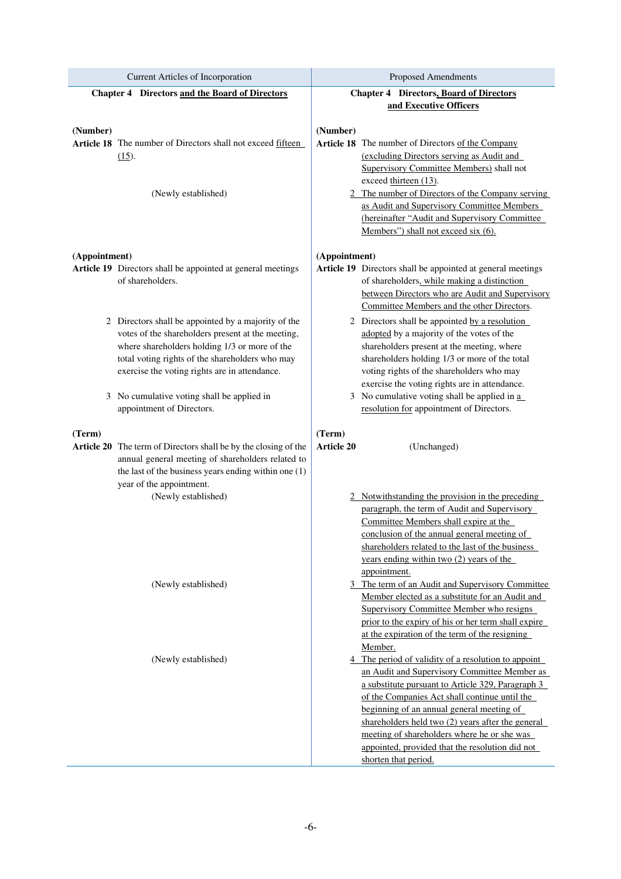| Current Articles of Incorporation                                               | <b>Proposed Amendments</b>                                                                                 |  |  |
|---------------------------------------------------------------------------------|------------------------------------------------------------------------------------------------------------|--|--|
| <b>Chapter 4 Directors and the Board of Directors</b>                           | <b>Chapter 4 Directors, Board of Directors</b>                                                             |  |  |
|                                                                                 | and Executive Officers                                                                                     |  |  |
|                                                                                 |                                                                                                            |  |  |
| (Number)                                                                        | (Number)                                                                                                   |  |  |
| Article 18 The number of Directors shall not exceed fifteen                     | Article 18 The number of Directors of the Company<br>(excluding Directors serving as Audit and             |  |  |
| $(15)$ .                                                                        | Supervisory Committee Members) shall not                                                                   |  |  |
|                                                                                 | exceed thirteen (13).                                                                                      |  |  |
| (Newly established)                                                             | 2 The number of Directors of the Company serving                                                           |  |  |
|                                                                                 | as Audit and Supervisory Committee Members                                                                 |  |  |
|                                                                                 | (hereinafter "Audit and Supervisory Committee                                                              |  |  |
|                                                                                 | Members") shall not exceed six (6).                                                                        |  |  |
|                                                                                 |                                                                                                            |  |  |
| (Appointment)                                                                   | (Appointment)                                                                                              |  |  |
| Article 19 Directors shall be appointed at general meetings<br>of shareholders. | Article 19 Directors shall be appointed at general meetings<br>of shareholders, while making a distinction |  |  |
|                                                                                 | between Directors who are Audit and Supervisory                                                            |  |  |
|                                                                                 | Committee Members and the other Directors.                                                                 |  |  |
| 2 Directors shall be appointed by a majority of the                             | 2 Directors shall be appointed by a resolution                                                             |  |  |
| votes of the shareholders present at the meeting,                               | adopted by a majority of the votes of the                                                                  |  |  |
| where shareholders holding 1/3 or more of the                                   | shareholders present at the meeting, where                                                                 |  |  |
| total voting rights of the shareholders who may                                 | shareholders holding 1/3 or more of the total                                                              |  |  |
| exercise the voting rights are in attendance.                                   | voting rights of the shareholders who may                                                                  |  |  |
|                                                                                 | exercise the voting rights are in attendance.                                                              |  |  |
| 3 No cumulative voting shall be applied in                                      | 3 No cumulative voting shall be applied in a                                                               |  |  |
| appointment of Directors.                                                       | resolution for appointment of Directors.                                                                   |  |  |
| (Term)                                                                          | (Term)                                                                                                     |  |  |
| Article 20 The term of Directors shall be by the closing of the                 | <b>Article 20</b><br>(Unchanged)                                                                           |  |  |
| annual general meeting of shareholders related to                               |                                                                                                            |  |  |
| the last of the business years ending within one (1)                            |                                                                                                            |  |  |
| year of the appointment.                                                        |                                                                                                            |  |  |
| (Newly established)                                                             | Notwithstanding the provision in the preceding                                                             |  |  |
|                                                                                 | paragraph, the term of Audit and Supervisory                                                               |  |  |
|                                                                                 | Committee Members shall expire at the<br>conclusion of the annual general meeting of                       |  |  |
|                                                                                 | shareholders related to the last of the business                                                           |  |  |
|                                                                                 | years ending within two $(2)$ years of the                                                                 |  |  |
|                                                                                 | appointment.                                                                                               |  |  |
| (Newly established)                                                             | 3 The term of an Audit and Supervisory Committee                                                           |  |  |
|                                                                                 | Member elected as a substitute for an Audit and                                                            |  |  |
|                                                                                 | <b>Supervisory Committee Member who resigns</b>                                                            |  |  |
|                                                                                 | prior to the expiry of his or her term shall expire                                                        |  |  |
|                                                                                 | at the expiration of the term of the resigning<br>Member.                                                  |  |  |
| (Newly established)                                                             | 4 The period of validity of a resolution to appoint                                                        |  |  |
|                                                                                 | an Audit and Supervisory Committee Member as                                                               |  |  |
|                                                                                 | a substitute pursuant to Article 329, Paragraph 3                                                          |  |  |
|                                                                                 | of the Companies Act shall continue until the                                                              |  |  |
|                                                                                 | beginning of an annual general meeting of                                                                  |  |  |
|                                                                                 | shareholders held two (2) years after the general                                                          |  |  |
|                                                                                 | meeting of shareholders where he or she was                                                                |  |  |
|                                                                                 | appointed, provided that the resolution did not<br>shorten that period.                                    |  |  |
|                                                                                 |                                                                                                            |  |  |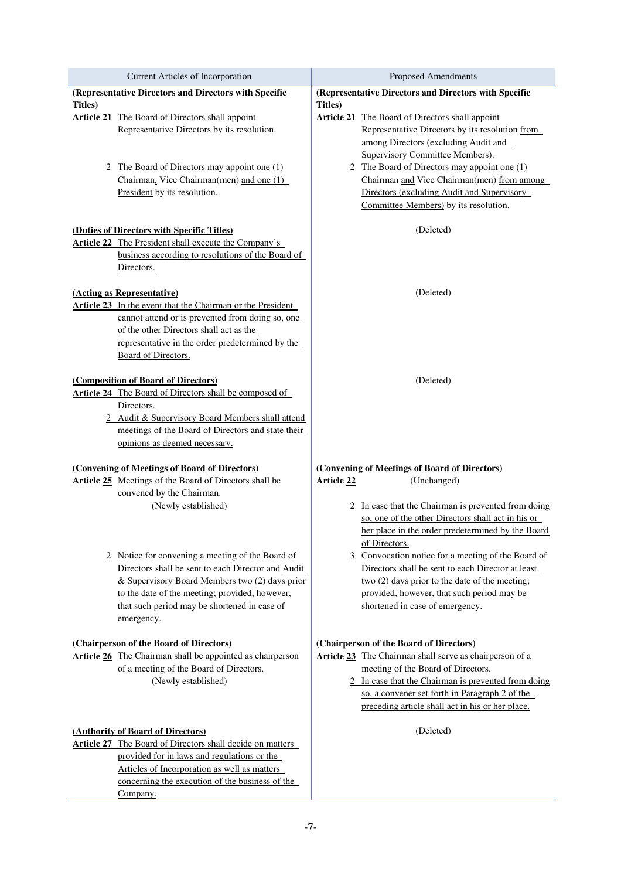| Current Articles of Incorporation                                                                    | Proposed Amendments                                                                                |  |
|------------------------------------------------------------------------------------------------------|----------------------------------------------------------------------------------------------------|--|
| (Representative Directors and Directors with Specific                                                | (Representative Directors and Directors with Specific                                              |  |
| <b>Titles</b> )                                                                                      | <b>Titles</b> )                                                                                    |  |
| Article 21 The Board of Directors shall appoint                                                      | Article 21 The Board of Directors shall appoint<br>Representative Directors by its resolution from |  |
| Representative Directors by its resolution.                                                          | among Directors (excluding Audit and                                                               |  |
|                                                                                                      | Supervisory Committee Members).                                                                    |  |
| 2 The Board of Directors may appoint one (1)                                                         | 2 The Board of Directors may appoint one (1)                                                       |  |
| Chairman, Vice Chairman(men) and one (1)                                                             | Chairman and Vice Chairman(men) from among                                                         |  |
| President by its resolution.                                                                         | Directors (excluding Audit and Supervisory                                                         |  |
|                                                                                                      | Committee Members) by its resolution.                                                              |  |
| (Duties of Directors with Specific Titles)                                                           | (Deleted)                                                                                          |  |
| <b>Article 22</b> The President shall execute the Company's                                          |                                                                                                    |  |
| business according to resolutions of the Board of                                                    |                                                                                                    |  |
| Directors.                                                                                           |                                                                                                    |  |
| (Acting as Representative)                                                                           | (Deleted)                                                                                          |  |
| Article 23 In the event that the Chairman or the President                                           |                                                                                                    |  |
| cannot attend or is prevented from doing so, one                                                     |                                                                                                    |  |
| of the other Directors shall act as the                                                              |                                                                                                    |  |
| representative in the order predetermined by the                                                     |                                                                                                    |  |
| Board of Directors.                                                                                  |                                                                                                    |  |
| (Composition of Board of Directors)                                                                  | (Deleted)                                                                                          |  |
| Article 24 The Board of Directors shall be composed of                                               |                                                                                                    |  |
| Directors.                                                                                           |                                                                                                    |  |
| 2 Audit & Supervisory Board Members shall attend                                                     |                                                                                                    |  |
| meetings of the Board of Directors and state their<br>opinions as deemed necessary.                  |                                                                                                    |  |
|                                                                                                      |                                                                                                    |  |
| (Convening of Meetings of Board of Directors)                                                        | (Convening of Meetings of Board of Directors)                                                      |  |
| Article 25 Meetings of the Board of Directors shall be                                               | Article 22<br>(Unchanged)                                                                          |  |
| convened by the Chairman.<br>(Newly established)                                                     | 2 In case that the Chairman is prevented from doing                                                |  |
|                                                                                                      | so, one of the other Directors shall act in his or                                                 |  |
|                                                                                                      | her place in the order predetermined by the Board                                                  |  |
|                                                                                                      | of Directors.                                                                                      |  |
| 2 Notice for convening a meeting of the Board of                                                     | 3 Convocation notice for a meeting of the Board of                                                 |  |
| Directors shall be sent to each Director and Audit                                                   | Directors shall be sent to each Director at least                                                  |  |
| & Supervisory Board Members two (2) days prior                                                       | two (2) days prior to the date of the meeting;                                                     |  |
| to the date of the meeting; provided, however,<br>that such period may be shortened in case of       | provided, however, that such period may be<br>shortened in case of emergency.                      |  |
| emergency.                                                                                           |                                                                                                    |  |
|                                                                                                      |                                                                                                    |  |
| (Chairperson of the Board of Directors)                                                              | (Chairperson of the Board of Directors)                                                            |  |
| Article 26 The Chairman shall be appointed as chairperson<br>of a meeting of the Board of Directors. | Article 23 The Chairman shall serve as chairperson of a<br>meeting of the Board of Directors.      |  |
| (Newly established)                                                                                  | 2 In case that the Chairman is prevented from doing                                                |  |
|                                                                                                      | so, a convener set forth in Paragraph 2 of the                                                     |  |
|                                                                                                      | preceding article shall act in his or her place.                                                   |  |
|                                                                                                      | (Deleted)                                                                                          |  |
| (Authority of Board of Directors)<br>Article 27 The Board of Directors shall decide on matters       |                                                                                                    |  |
| provided for in laws and regulations or the                                                          |                                                                                                    |  |
| Articles of Incorporation as well as matters                                                         |                                                                                                    |  |
| concerning the execution of the business of the                                                      |                                                                                                    |  |
| Company.                                                                                             |                                                                                                    |  |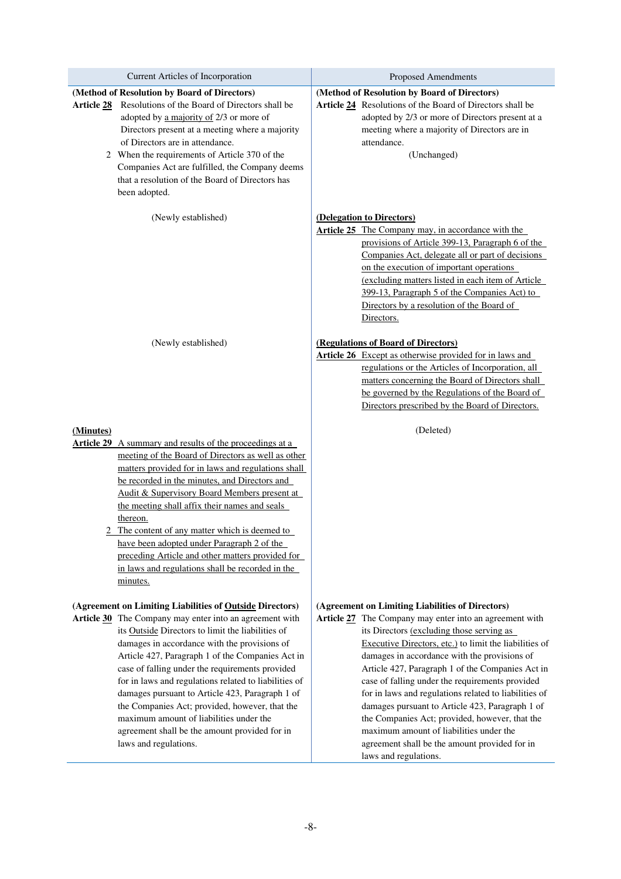| Current Articles of Incorporation                                                                                                                                                                                                                                                                                                                                                                                                                                                                                                                                                                                  | <b>Proposed Amendments</b>                                                                                                                                                                                                                                                                                                                                                                                                                                                                                                                                                                                                                                   |  |
|--------------------------------------------------------------------------------------------------------------------------------------------------------------------------------------------------------------------------------------------------------------------------------------------------------------------------------------------------------------------------------------------------------------------------------------------------------------------------------------------------------------------------------------------------------------------------------------------------------------------|--------------------------------------------------------------------------------------------------------------------------------------------------------------------------------------------------------------------------------------------------------------------------------------------------------------------------------------------------------------------------------------------------------------------------------------------------------------------------------------------------------------------------------------------------------------------------------------------------------------------------------------------------------------|--|
| (Method of Resolution by Board of Directors)<br>Resolutions of the Board of Directors shall be<br><b>Article 28</b><br>adopted by a majority of 2/3 or more of<br>Directors present at a meeting where a majority<br>of Directors are in attendance.<br>2 When the requirements of Article 370 of the<br>Companies Act are fulfilled, the Company deems<br>that a resolution of the Board of Directors has<br>been adopted.                                                                                                                                                                                        | (Method of Resolution by Board of Directors)<br>Article 24 Resolutions of the Board of Directors shall be<br>adopted by 2/3 or more of Directors present at a<br>meeting where a majority of Directors are in<br>attendance.<br>(Unchanged)                                                                                                                                                                                                                                                                                                                                                                                                                  |  |
| (Newly established)                                                                                                                                                                                                                                                                                                                                                                                                                                                                                                                                                                                                | (Delegation to Directors)<br><b>Article 25</b> The Company may, in accordance with the<br>provisions of Article 399-13, Paragraph 6 of the<br>Companies Act, delegate all or part of decisions<br>on the execution of important operations<br>(excluding matters listed in each item of Article<br>399-13, Paragraph 5 of the Companies Act) to<br>Directors by a resolution of the Board of<br>Directors.                                                                                                                                                                                                                                                   |  |
| (Newly established)                                                                                                                                                                                                                                                                                                                                                                                                                                                                                                                                                                                                | (Regulations of Board of Directors)<br><b>Article 26</b> Except as otherwise provided for in laws and<br>regulations or the Articles of Incorporation, all<br>matters concerning the Board of Directors shall<br>be governed by the Regulations of the Board of<br>Directors prescribed by the Board of Directors.                                                                                                                                                                                                                                                                                                                                           |  |
| (Minutes)<br><b>Article 29</b> A summary and results of the proceedings at a<br>meeting of the Board of Directors as well as other<br>matters provided for in laws and regulations shall<br>be recorded in the minutes, and Directors and<br>Audit & Supervisory Board Members present at<br>the meeting shall affix their names and seals<br>thereon.<br>2 The content of any matter which is deemed to<br>have been adopted under Paragraph 2 of the<br>preceding Article and other matters provided for<br>in laws and regulations shall be recorded in the<br>minutes.                                         | (Deleted)                                                                                                                                                                                                                                                                                                                                                                                                                                                                                                                                                                                                                                                    |  |
| (Agreement on Limiting Liabilities of Outside Directors)<br>Article 30 The Company may enter into an agreement with<br>its Outside Directors to limit the liabilities of<br>damages in accordance with the provisions of<br>Article 427, Paragraph 1 of the Companies Act in<br>case of falling under the requirements provided<br>for in laws and regulations related to liabilities of<br>damages pursuant to Article 423, Paragraph 1 of<br>the Companies Act; provided, however, that the<br>maximum amount of liabilities under the<br>agreement shall be the amount provided for in<br>laws and regulations. | (Agreement on Limiting Liabilities of Directors)<br>Article 27 The Company may enter into an agreement with<br>its Directors (excluding those serving as<br>Executive Directors, etc.) to limit the liabilities of<br>damages in accordance with the provisions of<br>Article 427, Paragraph 1 of the Companies Act in<br>case of falling under the requirements provided<br>for in laws and regulations related to liabilities of<br>damages pursuant to Article 423, Paragraph 1 of<br>the Companies Act; provided, however, that the<br>maximum amount of liabilities under the<br>agreement shall be the amount provided for in<br>laws and regulations. |  |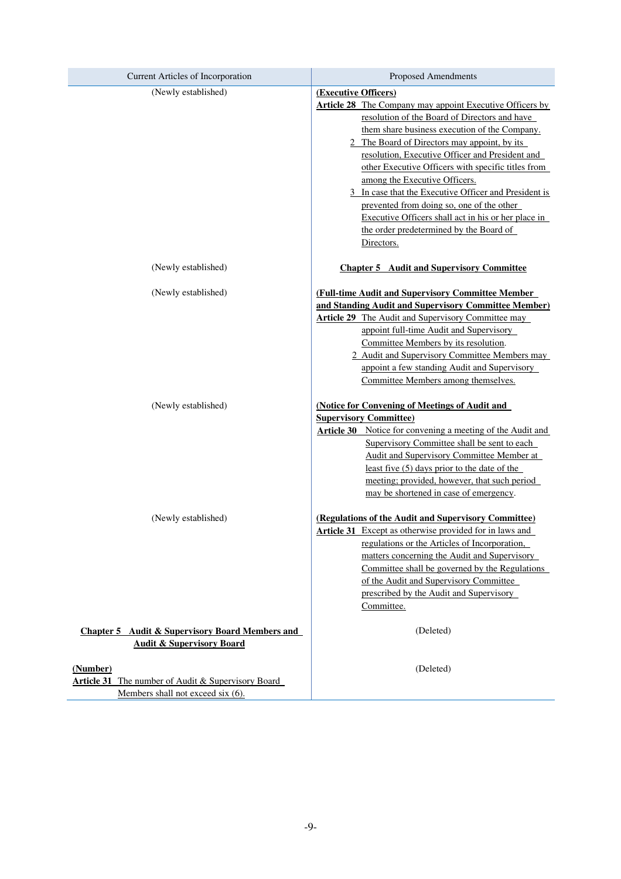| Current Articles of Incorporation                                                                          | <b>Proposed Amendments</b>                                                                                                                                                                                                                                                                                                                                                                                                                                                                                                                                                                                |  |
|------------------------------------------------------------------------------------------------------------|-----------------------------------------------------------------------------------------------------------------------------------------------------------------------------------------------------------------------------------------------------------------------------------------------------------------------------------------------------------------------------------------------------------------------------------------------------------------------------------------------------------------------------------------------------------------------------------------------------------|--|
| (Newly established)                                                                                        | (Executive Officers)<br><b>Article 28</b> The Company may appoint Executive Officers by<br>resolution of the Board of Directors and have<br>them share business execution of the Company.<br>2 The Board of Directors may appoint, by its<br>resolution, Executive Officer and President and<br>other Executive Officers with specific titles from<br>among the Executive Officers.<br>3 In case that the Executive Officer and President is<br>prevented from doing so, one of the other<br>Executive Officers shall act in his or her place in<br>the order predetermined by the Board of<br>Directors. |  |
| (Newly established)                                                                                        | <b>Chapter 5</b> Audit and Supervisory Committee                                                                                                                                                                                                                                                                                                                                                                                                                                                                                                                                                          |  |
| (Newly established)                                                                                        | (Full-time Audit and Supervisory Committee Member<br>and Standing Audit and Supervisory Committee Member)<br><b>Article 29</b> The Audit and Supervisory Committee may<br>appoint full-time Audit and Supervisory<br>Committee Members by its resolution.<br>2 Audit and Supervisory Committee Members may<br>appoint a few standing Audit and Supervisory<br>Committee Members among themselves.                                                                                                                                                                                                         |  |
| (Newly established)                                                                                        | (Notice for Convening of Meetings of Audit and<br><b>Supervisory Committee)</b><br>Article 30 Notice for convening a meeting of the Audit and<br>Supervisory Committee shall be sent to each<br><b>Audit and Supervisory Committee Member at</b><br>least five $(5)$ days prior to the date of the<br>meeting; provided, however, that such period<br>may be shortened in case of emergency.                                                                                                                                                                                                              |  |
| (Newly established)                                                                                        | (Regulations of the Audit and Supervisory Committee)<br><b>Article 31</b> Except as otherwise provided for in laws and<br>regulations or the Articles of Incorporation,<br>matters concerning the Audit and Supervisory<br>Committee shall be governed by the Regulations<br>of the Audit and Supervisory Committee<br>prescribed by the Audit and Supervisory<br>Committee.                                                                                                                                                                                                                              |  |
| <b>Chapter 5</b> Audit & Supervisory Board Members and<br><b>Audit &amp; Supervisory Board</b>             | (Deleted)                                                                                                                                                                                                                                                                                                                                                                                                                                                                                                                                                                                                 |  |
| (Number)<br><b>Article 31</b> The number of Audit & Supervisory Board<br>Members shall not exceed six (6). | (Deleted)                                                                                                                                                                                                                                                                                                                                                                                                                                                                                                                                                                                                 |  |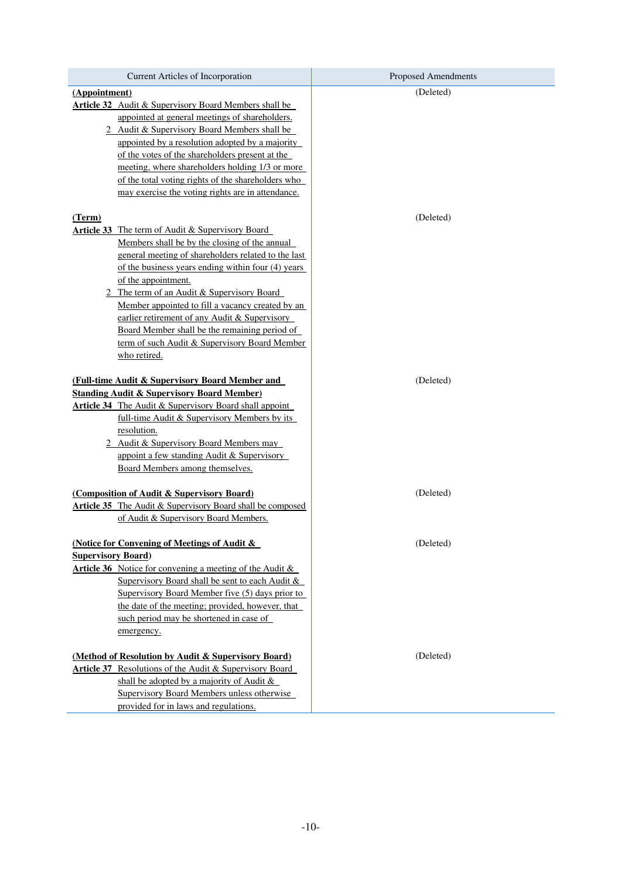| Current Articles of Incorporation                                                                                                                                                    | <b>Proposed Amendments</b> |  |
|--------------------------------------------------------------------------------------------------------------------------------------------------------------------------------------|----------------------------|--|
| (Appointment)                                                                                                                                                                        | (Deleted)                  |  |
| <b>Article 32</b> Audit & Supervisory Board Members shall be                                                                                                                         |                            |  |
| appointed at general meetings of shareholders.                                                                                                                                       |                            |  |
| 2 Audit & Supervisory Board Members shall be                                                                                                                                         |                            |  |
| appointed by a resolution adopted by a majority                                                                                                                                      |                            |  |
| of the votes of the shareholders present at the                                                                                                                                      |                            |  |
| meeting, where shareholders holding 1/3 or more                                                                                                                                      |                            |  |
| of the total voting rights of the shareholders who                                                                                                                                   |                            |  |
| may exercise the voting rights are in attendance.                                                                                                                                    |                            |  |
|                                                                                                                                                                                      |                            |  |
| (Term)                                                                                                                                                                               | (Deleted)                  |  |
| <b>Article 33</b> The term of Audit & Supervisory Board                                                                                                                              |                            |  |
| Members shall be by the closing of the annual                                                                                                                                        |                            |  |
| general meeting of shareholders related to the last                                                                                                                                  |                            |  |
| of the business years ending within four (4) years                                                                                                                                   |                            |  |
| of the appointment.                                                                                                                                                                  |                            |  |
| 2 The term of an Audit & Supervisory Board                                                                                                                                           |                            |  |
| Member appointed to fill a vacancy created by an                                                                                                                                     |                            |  |
| earlier retirement of any Audit & Supervisory                                                                                                                                        |                            |  |
| Board Member shall be the remaining period of                                                                                                                                        |                            |  |
| term of such Audit & Supervisory Board Member                                                                                                                                        |                            |  |
| who retired.                                                                                                                                                                         |                            |  |
| <b>(Full-time Audit &amp; Supervisory Board Member and</b><br><b>Standing Audit &amp; Supervisory Board Member)</b><br><b>Article 34</b> The Audit & Supervisory Board shall appoint | (Deleted)                  |  |
| <u>full-time Audit &amp; Supervisory Members by its</u>                                                                                                                              |                            |  |
| resolution.                                                                                                                                                                          |                            |  |
| 2 Audit & Supervisory Board Members may                                                                                                                                              |                            |  |
| appoint a few standing Audit & Supervisory<br>Board Members among themselves.                                                                                                        |                            |  |
|                                                                                                                                                                                      |                            |  |
| (Composition of Audit & Supervisory Board)                                                                                                                                           | (Deleted)                  |  |
| <b>Article 35</b> The Audit & Supervisory Board shall be composed                                                                                                                    |                            |  |
| of Audit & Supervisory Board Members.                                                                                                                                                |                            |  |
|                                                                                                                                                                                      |                            |  |
| (Notice for Convening of Meetings of Audit &                                                                                                                                         | (Deleted)                  |  |
| <b>Supervisory Board)</b>                                                                                                                                                            |                            |  |
| <b>Article 36</b> Notice for convening a meeting of the Audit $\&$                                                                                                                   |                            |  |
| Supervisory Board shall be sent to each Audit $\&$                                                                                                                                   |                            |  |
| Supervisory Board Member five (5) days prior to                                                                                                                                      |                            |  |
| the date of the meeting; provided, however, that                                                                                                                                     |                            |  |
| such period may be shortened in case of                                                                                                                                              |                            |  |
| emergency.                                                                                                                                                                           |                            |  |
|                                                                                                                                                                                      |                            |  |
| (Method of Resolution by Audit & Supervisory Board)                                                                                                                                  | (Deleted)                  |  |
| <b>Article 37</b> Resolutions of the Audit & Supervisory Board                                                                                                                       |                            |  |
| shall be adopted by a majority of Audit $\&$                                                                                                                                         |                            |  |
| <b>Supervisory Board Members unless otherwise</b>                                                                                                                                    |                            |  |
| provided for in laws and regulations.                                                                                                                                                |                            |  |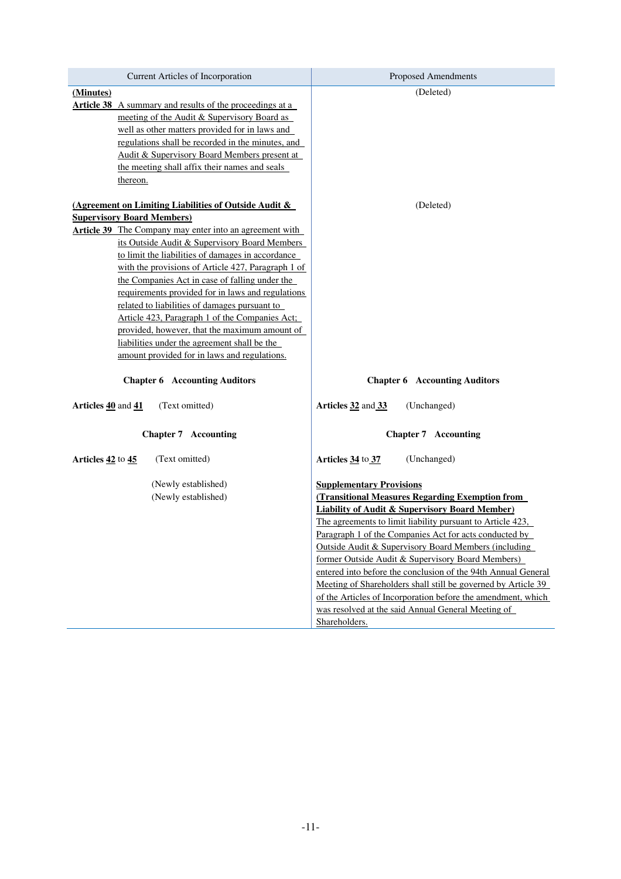| Current Articles of Incorporation                               | <b>Proposed Amendments</b>                                    |
|-----------------------------------------------------------------|---------------------------------------------------------------|
| (Minutes)                                                       | (Deleted)                                                     |
| <b>Article 38</b> A summary and results of the proceedings at a |                                                               |
| meeting of the Audit & Supervisory Board as                     |                                                               |
| well as other matters provided for in laws and                  |                                                               |
| regulations shall be recorded in the minutes, and               |                                                               |
| Audit & Supervisory Board Members present at                    |                                                               |
| the meeting shall affix their names and seals                   |                                                               |
| thereon.                                                        |                                                               |
| (Agreement on Limiting Liabilities of Outside Audit &           | (Deleted)                                                     |
| <b>Supervisory Board Members)</b>                               |                                                               |
| <b>Article 39</b> The Company may enter into an agreement with  |                                                               |
| its Outside Audit & Supervisory Board Members                   |                                                               |
| to limit the liabilities of damages in accordance               |                                                               |
| with the provisions of Article 427, Paragraph 1 of              |                                                               |
| the Companies Act in case of falling under the                  |                                                               |
| requirements provided for in laws and regulations               |                                                               |
| related to liabilities of damages pursuant to                   |                                                               |
| Article 423, Paragraph 1 of the Companies Act;                  |                                                               |
| provided, however, that the maximum amount of                   |                                                               |
| liabilities under the agreement shall be the                    |                                                               |
| amount provided for in laws and regulations.                    |                                                               |
| <b>Chapter 6 Accounting Auditors</b>                            | <b>Chapter 6 Accounting Auditors</b>                          |
| Articles 40 and 41<br>(Text omitted)                            | Articles 32 and 33<br>(Unchanged)                             |
| <b>Chapter 7 Accounting</b>                                     | <b>Chapter 7 Accounting</b>                                   |
| Articles 42 to 45<br>(Text omitted)                             | (Unchanged)<br>Articles 34 to 37                              |
| (Newly established)                                             | <b>Supplementary Provisions</b>                               |
| (Newly established)                                             | <b>(Transitional Measures Regarding Exemption from</b>        |
|                                                                 | <b>Liability of Audit &amp; Supervisory Board Member)</b>     |
|                                                                 | The agreements to limit liability pursuant to Article 423,    |
|                                                                 | Paragraph 1 of the Companies Act for acts conducted by        |
|                                                                 | Outside Audit & Supervisory Board Members (including          |
|                                                                 | former Outside Audit & Supervisory Board Members)             |
|                                                                 | entered into before the conclusion of the 94th Annual General |
|                                                                 | Meeting of Shareholders shall still be governed by Article 39 |
|                                                                 | of the Articles of Incorporation before the amendment, which  |
|                                                                 | was resolved at the said Annual General Meeting of            |
|                                                                 | Shareholders.                                                 |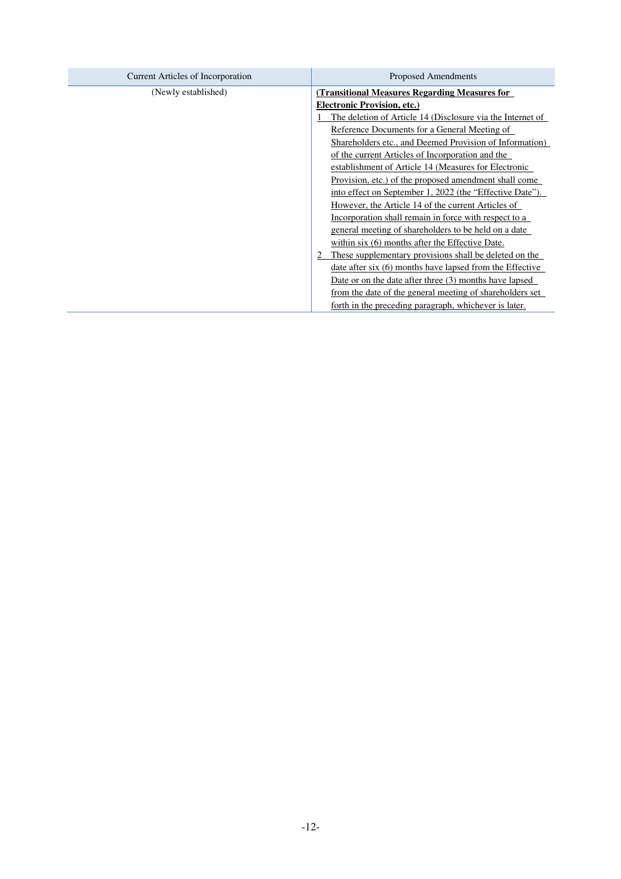| Current Articles of Incorporation | Proposed Amendments                                        |  |
|-----------------------------------|------------------------------------------------------------|--|
| (Newly established)               | (Transitional Measures Regarding Measures for              |  |
|                                   | <b>Electronic Provision, etc.)</b>                         |  |
|                                   | The deletion of Article 14 (Disclosure via the Internet of |  |
|                                   | Reference Documents for a General Meeting of               |  |
|                                   | Shareholders etc., and Deemed Provision of Information)    |  |
|                                   | of the current Articles of Incorporation and the           |  |
|                                   | establishment of Article 14 (Measures for Electronic       |  |
|                                   | Provision, etc.) of the proposed amendment shall come      |  |
|                                   | into effect on September 1, 2022 (the "Effective Date").   |  |
|                                   | However, the Article 14 of the current Articles of         |  |
|                                   | Incorporation shall remain in force with respect to a      |  |
|                                   | general meeting of shareholders to be held on a date       |  |
|                                   | within six (6) months after the Effective Date.            |  |
|                                   | These supplementary provisions shall be deleted on the     |  |
|                                   | date after six (6) months have lapsed from the Effective   |  |
|                                   | Date or on the date after three (3) months have lapsed     |  |
|                                   | from the date of the general meeting of shareholders set   |  |
|                                   | forth in the preceding paragraph, whichever is later.      |  |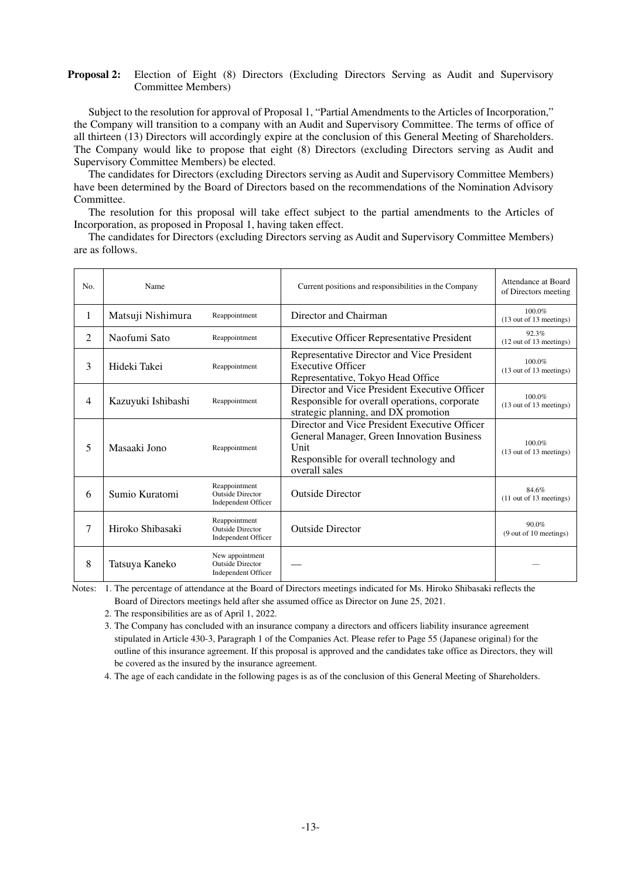#### **Proposal 2:** Election of Eight (8) Directors (Excluding Directors Serving as Audit and Supervisory Committee Members)

Subject to the resolution for approval of Proposal 1, "Partial Amendments to the Articles of Incorporation," the Company will transition to a company with an Audit and Supervisory Committee. The terms of office of all thirteen (13) Directors will accordingly expire at the conclusion of this General Meeting of Shareholders. The Company would like to propose that eight (8) Directors (excluding Directors serving as Audit and Supervisory Committee Members) be elected.

The candidates for Directors (excluding Directors serving as Audit and Supervisory Committee Members) have been determined by the Board of Directors based on the recommendations of the Nomination Advisory Committee.

The resolution for this proposal will take effect subject to the partial amendments to the Articles of Incorporation, as proposed in Proposal 1, having taken effect.

The candidates for Directors (excluding Directors serving as Audit and Supervisory Committee Members) are as follows.

| No.    | Name               |                                                                          | Current positions and responsibilities in the Company                                                                                                          | Attendance at Board<br>of Directors meeting |
|--------|--------------------|--------------------------------------------------------------------------|----------------------------------------------------------------------------------------------------------------------------------------------------------------|---------------------------------------------|
| 1      | Matsuji Nishimura  | Reappointment                                                            | Director and Chairman                                                                                                                                          | 100.0%<br>(13 out of 13 meetings)           |
| 2      | Naofumi Sato       | Reappointment                                                            | <b>Executive Officer Representative President</b>                                                                                                              | 92.3%<br>(12 out of 13 meetings)            |
| 3      | Hideki Takei       | Reappointment                                                            | Representative Director and Vice President<br><b>Executive Officer</b><br>Representative, Tokyo Head Office                                                    | 100.0%<br>(13 out of 13 meetings)           |
| 4      | Kazuyuki Ishibashi | Reappointment                                                            | Director and Vice President Executive Officer<br>Responsible for overall operations, corporate<br>strategic planning, and DX promotion                         | 100.0%<br>(13 out of 13 meetings)           |
| 5      | Masaaki Jono       | Reappointment                                                            | Director and Vice President Executive Officer<br>General Manager, Green Innovation Business<br>Unit<br>Responsible for overall technology and<br>overall sales | 100.0%<br>(13 out of 13 meetings)           |
| 6      | Sumio Kuratomi     | Reappointment<br><b>Outside Director</b><br>Independent Officer          | <b>Outside Director</b>                                                                                                                                        | 84.6%<br>$(11$ out of 13 meetings)          |
| $\tau$ | Hiroko Shibasaki   | Reappointment<br><b>Outside Director</b><br><b>Independent Officer</b>   | <b>Outside Director</b>                                                                                                                                        | 90.0%<br>(9 out of 10 meetings)             |
| 8      | Tatsuya Kaneko     | New appointment<br><b>Outside Director</b><br><b>Independent Officer</b> |                                                                                                                                                                |                                             |

Notes: 1. The percentage of attendance at the Board of Directors meetings indicated for Ms. Hiroko Shibasaki reflects the Board of Directors meetings held after she assumed office as Director on June 25, 2021.

2. The responsibilities are as of April 1, 2022.

3. The Company has concluded with an insurance company a directors and officers liability insurance agreement stipulated in Article 430-3, Paragraph 1 of the Companies Act. Please refer to Page 55 (Japanese original) for the outline of this insurance agreement. If this proposal is approved and the candidates take office as Directors, they will be covered as the insured by the insurance agreement.

4. The age of each candidate in the following pages is as of the conclusion of this General Meeting of Shareholders.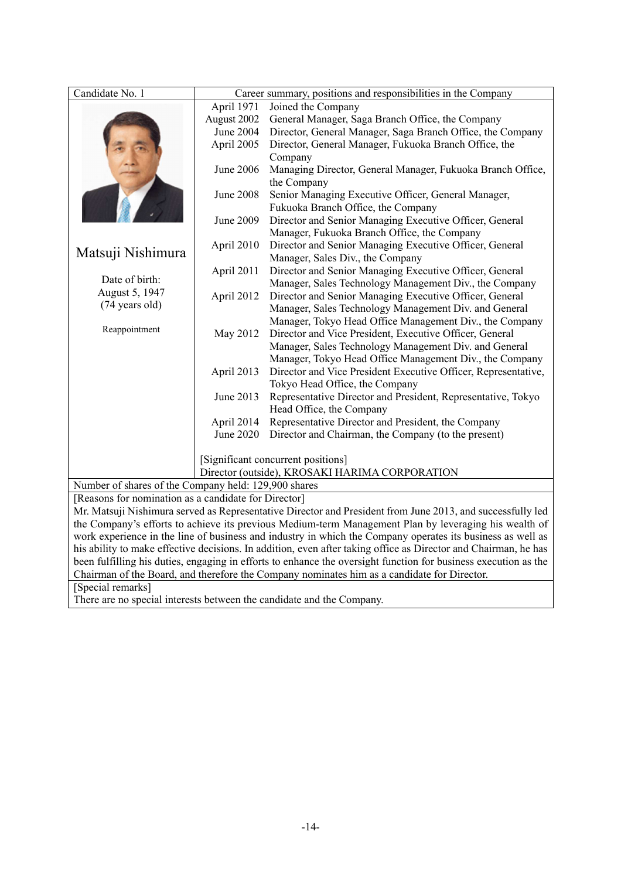| Candidate No. 1                                                                                                 |                                                                                      | Career summary, positions and responsibilities in the Company                                              |
|-----------------------------------------------------------------------------------------------------------------|--------------------------------------------------------------------------------------|------------------------------------------------------------------------------------------------------------|
|                                                                                                                 | April 1971                                                                           | Joined the Company                                                                                         |
|                                                                                                                 | August 2002                                                                          | General Manager, Saga Branch Office, the Company                                                           |
|                                                                                                                 | <b>June 2004</b>                                                                     | Director, General Manager, Saga Branch Office, the Company                                                 |
|                                                                                                                 | April 2005                                                                           | Director, General Manager, Fukuoka Branch Office, the                                                      |
|                                                                                                                 |                                                                                      | Company                                                                                                    |
|                                                                                                                 | June 2006                                                                            | Managing Director, General Manager, Fukuoka Branch Office,<br>the Company                                  |
|                                                                                                                 | June 2008                                                                            | Senior Managing Executive Officer, General Manager,<br>Fukuoka Branch Office, the Company                  |
|                                                                                                                 | June 2009                                                                            | Director and Senior Managing Executive Officer, General                                                    |
|                                                                                                                 |                                                                                      | Manager, Fukuoka Branch Office, the Company                                                                |
| April 2010<br>Director and Senior Managing Executive Officer, General<br>Matsuji Nishimura                      |                                                                                      | Manager, Sales Div., the Company                                                                           |
|                                                                                                                 | April 2011                                                                           | Director and Senior Managing Executive Officer, General                                                    |
| Date of birth:                                                                                                  |                                                                                      | Manager, Sales Technology Management Div., the Company                                                     |
| August 5, 1947                                                                                                  | April 2012                                                                           | Director and Senior Managing Executive Officer, General                                                    |
| (74 years old)                                                                                                  |                                                                                      | Manager, Sales Technology Management Div. and General                                                      |
|                                                                                                                 |                                                                                      | Manager, Tokyo Head Office Management Div., the Company                                                    |
| Reappointment                                                                                                   | May 2012                                                                             | Director and Vice President, Executive Officer, General                                                    |
|                                                                                                                 |                                                                                      | Manager, Sales Technology Management Div. and General                                                      |
|                                                                                                                 |                                                                                      | Manager, Tokyo Head Office Management Div., the Company                                                    |
|                                                                                                                 | April 2013                                                                           | Director and Vice President Executive Officer, Representative,                                             |
|                                                                                                                 |                                                                                      | Tokyo Head Office, the Company                                                                             |
|                                                                                                                 | June 2013                                                                            | Representative Director and President, Representative, Tokyo                                               |
|                                                                                                                 |                                                                                      | Head Office, the Company                                                                                   |
|                                                                                                                 | April 2014                                                                           | Representative Director and President, the Company                                                         |
|                                                                                                                 | June 2020                                                                            | Director and Chairman, the Company (to the present)                                                        |
|                                                                                                                 |                                                                                      |                                                                                                            |
|                                                                                                                 | [Significant concurrent positions]<br>Director (outside), KROSAKI HARIMA CORPORATION |                                                                                                            |
| Number of shares of the Company held: 129,900 shares                                                            |                                                                                      |                                                                                                            |
| [Reasons for nomination as a candidate for Director]                                                            |                                                                                      |                                                                                                            |
|                                                                                                                 |                                                                                      | Mr. Matsuji Nishimura served as Representative Director and President from June 2013, and successfully led |
|                                                                                                                 |                                                                                      | the Company's efforts to achieve its previous Medium-term Management Plan by leveraging his wealth of      |
| work experience in the line of business and industry in which the Company operates its business as well as      |                                                                                      |                                                                                                            |
| his ability to make effective decisions. In addition, even after taking office as Director and Chairman, he has |                                                                                      |                                                                                                            |
| been fulfilling his duties, engaging in efforts to enhance the oversight function for business execution as the |                                                                                      |                                                                                                            |
| Chairman of the Board, and therefore the Company nominates him as a candidate for Director.                     |                                                                                      |                                                                                                            |
| [Special remarks]                                                                                               |                                                                                      |                                                                                                            |
| There are no special interests between the candidate and the Company.                                           |                                                                                      |                                                                                                            |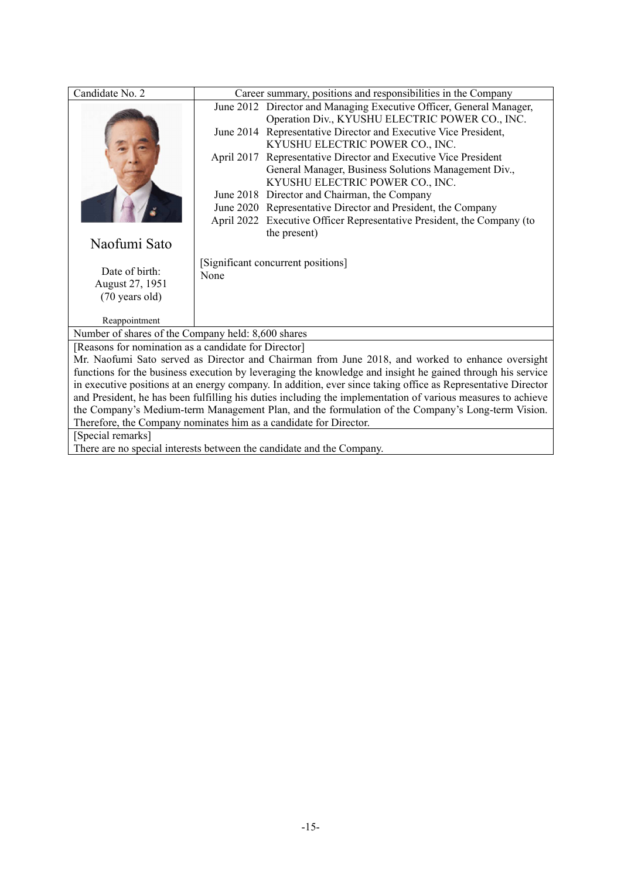| Candidate No. 2                                                                                               | Career summary, positions and responsibilities in the Company                           |  |  |
|---------------------------------------------------------------------------------------------------------------|-----------------------------------------------------------------------------------------|--|--|
|                                                                                                               | June 2012 Director and Managing Executive Officer, General Manager,                     |  |  |
|                                                                                                               | Operation Div., KYUSHU ELECTRIC POWER CO., INC.                                         |  |  |
|                                                                                                               | June 2014 Representative Director and Executive Vice President,                         |  |  |
|                                                                                                               | KYUSHU ELECTRIC POWER CO., INC.                                                         |  |  |
|                                                                                                               | April 2017 Representative Director and Executive Vice President                         |  |  |
|                                                                                                               | General Manager, Business Solutions Management Div.,<br>KYUSHU ELECTRIC POWER CO., INC. |  |  |
|                                                                                                               | June 2018 Director and Chairman, the Company                                            |  |  |
|                                                                                                               | June 2020 Representative Director and President, the Company                            |  |  |
|                                                                                                               | April 2022 Executive Officer Representative President, the Company (to                  |  |  |
|                                                                                                               | the present)                                                                            |  |  |
| Naofumi Sato                                                                                                  |                                                                                         |  |  |
|                                                                                                               | [Significant concurrent positions]                                                      |  |  |
| Date of birth:                                                                                                | None                                                                                    |  |  |
| August 27, 1951                                                                                               |                                                                                         |  |  |
| (70 years old)                                                                                                |                                                                                         |  |  |
| Reappointment                                                                                                 |                                                                                         |  |  |
| Number of shares of the Company held: 8,600 shares                                                            |                                                                                         |  |  |
|                                                                                                               | [Reasons for nomination as a candidate for Director]                                    |  |  |
| Mr. Naofumi Sato served as Director and Chairman from June 2018, and worked to enhance oversight              |                                                                                         |  |  |
| functions for the business execution by leveraging the knowledge and insight he gained through his service    |                                                                                         |  |  |
| in executive positions at an energy company. In addition, ever since taking office as Representative Director |                                                                                         |  |  |
| and President, he has been fulfilling his duties including the implementation of various measures to achieve  |                                                                                         |  |  |
| the Company's Medium-term Management Plan, and the formulation of the Company's Long-term Vision.             |                                                                                         |  |  |
|                                                                                                               | Therefore, the Company nominates him as a candidate for Director.                       |  |  |
| [Special remarks]                                                                                             |                                                                                         |  |  |
|                                                                                                               | There are no special interests between the candidate and the Company.                   |  |  |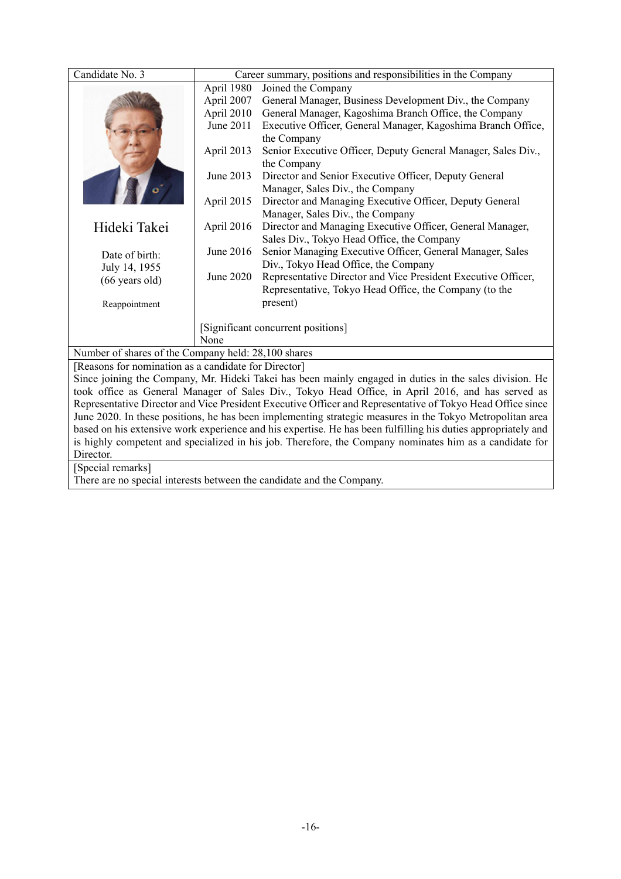| Candidate No. 3                                                                                                                                                                                                 |                                                     | Career summary, positions and responsibilities in the Company                                           |  |  |
|-----------------------------------------------------------------------------------------------------------------------------------------------------------------------------------------------------------------|-----------------------------------------------------|---------------------------------------------------------------------------------------------------------|--|--|
|                                                                                                                                                                                                                 | April 1980                                          | Joined the Company                                                                                      |  |  |
|                                                                                                                                                                                                                 | April 2007                                          | General Manager, Business Development Div., the Company                                                 |  |  |
|                                                                                                                                                                                                                 | April 2010                                          | General Manager, Kagoshima Branch Office, the Company                                                   |  |  |
|                                                                                                                                                                                                                 | June 2011                                           | Executive Officer, General Manager, Kagoshima Branch Office,                                            |  |  |
|                                                                                                                                                                                                                 |                                                     | the Company                                                                                             |  |  |
|                                                                                                                                                                                                                 | April 2013                                          | Senior Executive Officer, Deputy General Manager, Sales Div.,                                           |  |  |
|                                                                                                                                                                                                                 |                                                     | the Company                                                                                             |  |  |
|                                                                                                                                                                                                                 | June 2013                                           | Director and Senior Executive Officer, Deputy General                                                   |  |  |
|                                                                                                                                                                                                                 |                                                     | Manager, Sales Div., the Company                                                                        |  |  |
|                                                                                                                                                                                                                 | April 2015                                          | Director and Managing Executive Officer, Deputy General                                                 |  |  |
|                                                                                                                                                                                                                 |                                                     | Manager, Sales Div., the Company                                                                        |  |  |
| Hideki Takei                                                                                                                                                                                                    | April 2016                                          | Director and Managing Executive Officer, General Manager,                                               |  |  |
|                                                                                                                                                                                                                 |                                                     | Sales Div., Tokyo Head Office, the Company                                                              |  |  |
| Date of birth:                                                                                                                                                                                                  | June 2016                                           | Senior Managing Executive Officer, General Manager, Sales                                               |  |  |
| July 14, 1955                                                                                                                                                                                                   |                                                     | Div., Tokyo Head Office, the Company                                                                    |  |  |
| $(66$ years old)                                                                                                                                                                                                | June 2020                                           | Representative Director and Vice President Executive Officer,                                           |  |  |
|                                                                                                                                                                                                                 |                                                     | Representative, Tokyo Head Office, the Company (to the                                                  |  |  |
| Reappointment                                                                                                                                                                                                   |                                                     | present)                                                                                                |  |  |
|                                                                                                                                                                                                                 |                                                     |                                                                                                         |  |  |
|                                                                                                                                                                                                                 | [Significant concurrent positions]<br>None          |                                                                                                         |  |  |
|                                                                                                                                                                                                                 | Number of shares of the Company held: 28,100 shares |                                                                                                         |  |  |
| [Reasons for nomination as a candidate for Director]                                                                                                                                                            |                                                     |                                                                                                         |  |  |
|                                                                                                                                                                                                                 |                                                     | Since joining the Company, Mr. Hideki Takei has been mainly engaged in duties in the sales division. He |  |  |
|                                                                                                                                                                                                                 |                                                     |                                                                                                         |  |  |
| took office as General Manager of Sales Div., Tokyo Head Office, in April 2016, and has served as<br>Representative Director and Vice President Executive Officer and Representative of Tokyo Head Office since |                                                     |                                                                                                         |  |  |
| June 2020. In these positions, he has been implementing strategic measures in the Tokyo Metropolitan area                                                                                                       |                                                     |                                                                                                         |  |  |
| based on his extensive work experience and his expertise. He has been fulfilling his duties appropriately and                                                                                                   |                                                     |                                                                                                         |  |  |
| is highly competent and specialized in his job. Therefore, the Company nominates him as a candidate for                                                                                                         |                                                     |                                                                                                         |  |  |
| Director.                                                                                                                                                                                                       |                                                     |                                                                                                         |  |  |
| [Special remarks]                                                                                                                                                                                               |                                                     |                                                                                                         |  |  |
| There are no special interests between the candidate and the Company.                                                                                                                                           |                                                     |                                                                                                         |  |  |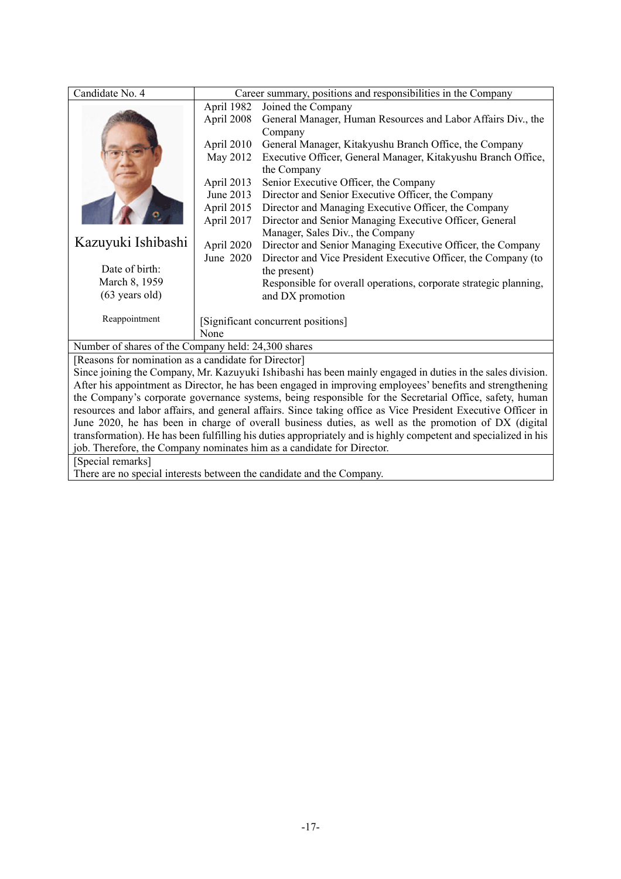| Candidate No. 4                                                                                            | Career summary, positions and responsibilities in the Company |                                                                   |  |
|------------------------------------------------------------------------------------------------------------|---------------------------------------------------------------|-------------------------------------------------------------------|--|
|                                                                                                            | April 1982                                                    | Joined the Company                                                |  |
|                                                                                                            | April 2008                                                    | General Manager, Human Resources and Labor Affairs Div., the      |  |
|                                                                                                            |                                                               | Company                                                           |  |
|                                                                                                            | April 2010                                                    | General Manager, Kitakyushu Branch Office, the Company            |  |
|                                                                                                            | May 2012                                                      | Executive Officer, General Manager, Kitakyushu Branch Office,     |  |
|                                                                                                            |                                                               | the Company                                                       |  |
|                                                                                                            | April 2013                                                    | Senior Executive Officer, the Company                             |  |
|                                                                                                            | June 2013                                                     | Director and Senior Executive Officer, the Company                |  |
|                                                                                                            | April 2015                                                    | Director and Managing Executive Officer, the Company              |  |
|                                                                                                            | April 2017                                                    | Director and Senior Managing Executive Officer, General           |  |
|                                                                                                            |                                                               | Manager, Sales Div., the Company                                  |  |
| Kazuyuki Ishibashi                                                                                         | April 2020                                                    | Director and Senior Managing Executive Officer, the Company       |  |
|                                                                                                            | June 2020                                                     | Director and Vice President Executive Officer, the Company (to    |  |
| Date of birth:                                                                                             |                                                               | the present)                                                      |  |
| March 8, 1959                                                                                              |                                                               | Responsible for overall operations, corporate strategic planning, |  |
| $(63 \text{ years old})$                                                                                   |                                                               | and DX promotion                                                  |  |
|                                                                                                            |                                                               |                                                                   |  |
| Reappointment                                                                                              |                                                               | [Significant concurrent positions]                                |  |
|                                                                                                            | None                                                          |                                                                   |  |
| Number of shares of the Company held: 24,300 shares                                                        |                                                               |                                                                   |  |
| [Reasons for nomination as a candidate for Director]                                                       |                                                               |                                                                   |  |
| Since joining the Company, Mr. Kazuyuki Ishibashi has been mainly engaged in duties in the sales division. |                                                               |                                                                   |  |
| After his appointment as Director, he has been engaged in improving employees' benefits and strengthening  |                                                               |                                                                   |  |

After his appointment as Director, he has been engaged in improving employees' benefits and strengthening the Company's corporate governance systems, being responsible for the Secretarial Office, safety, human resources and labor affairs, and general affairs. Since taking office as Vice President Executive Officer in June 2020, he has been in charge of overall business duties, as well as the promotion of DX (digital transformation). He has been fulfilling his duties appropriately and is highly competent and specialized in his job. Therefore, the Company nominates him as a candidate for Director.

[Special remarks]

There are no special interests between the candidate and the Company.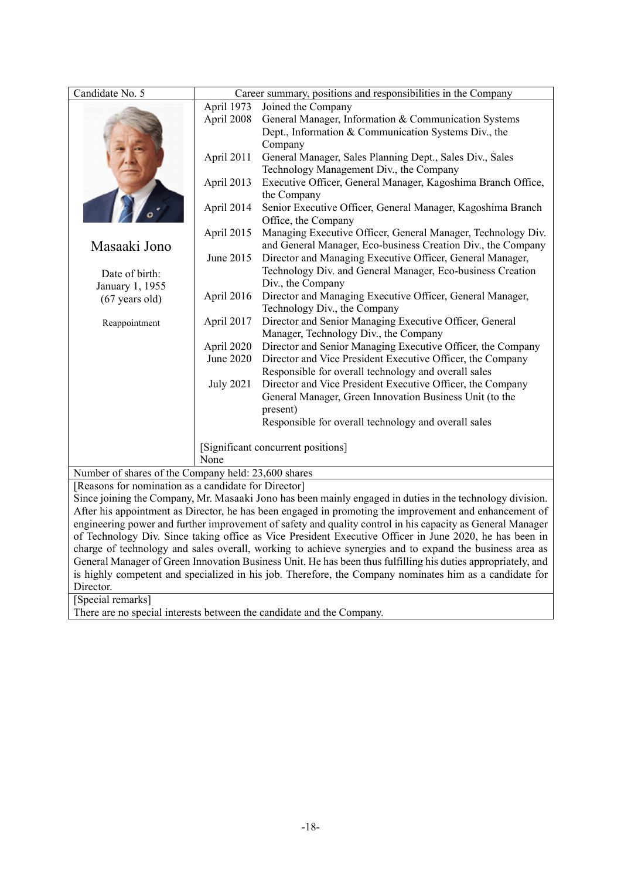| Candidate No. 5                                                                                            |                                                                                                              | Career summary, positions and responsibilities in the Company                                             |  |  |
|------------------------------------------------------------------------------------------------------------|--------------------------------------------------------------------------------------------------------------|-----------------------------------------------------------------------------------------------------------|--|--|
|                                                                                                            |                                                                                                              | April 1973<br>Joined the Company                                                                          |  |  |
|                                                                                                            | April 2008                                                                                                   | General Manager, Information & Communication Systems                                                      |  |  |
|                                                                                                            |                                                                                                              | Dept., Information & Communication Systems Div., the                                                      |  |  |
|                                                                                                            |                                                                                                              | Company                                                                                                   |  |  |
|                                                                                                            | April 2011                                                                                                   | General Manager, Sales Planning Dept., Sales Div., Sales                                                  |  |  |
|                                                                                                            |                                                                                                              | Technology Management Div., the Company                                                                   |  |  |
|                                                                                                            | April 2013                                                                                                   | Executive Officer, General Manager, Kagoshima Branch Office,                                              |  |  |
|                                                                                                            |                                                                                                              | the Company                                                                                               |  |  |
|                                                                                                            | April 2014                                                                                                   | Senior Executive Officer, General Manager, Kagoshima Branch                                               |  |  |
|                                                                                                            |                                                                                                              | Office, the Company                                                                                       |  |  |
|                                                                                                            | April 2015                                                                                                   | Managing Executive Officer, General Manager, Technology Div.                                              |  |  |
| Masaaki Jono                                                                                               |                                                                                                              | and General Manager, Eco-business Creation Div., the Company                                              |  |  |
|                                                                                                            | June 2015                                                                                                    | Director and Managing Executive Officer, General Manager,                                                 |  |  |
| Date of birth:                                                                                             |                                                                                                              | Technology Div. and General Manager, Eco-business Creation                                                |  |  |
| January 1, 1955                                                                                            | Div., the Company                                                                                            |                                                                                                           |  |  |
| $(67$ years old)                                                                                           | April 2016                                                                                                   | Director and Managing Executive Officer, General Manager,                                                 |  |  |
|                                                                                                            |                                                                                                              | Technology Div., the Company                                                                              |  |  |
| Reappointment                                                                                              | April 2017                                                                                                   | Director and Senior Managing Executive Officer, General                                                   |  |  |
|                                                                                                            |                                                                                                              | Manager, Technology Div., the Company                                                                     |  |  |
|                                                                                                            | April 2020                                                                                                   | Director and Senior Managing Executive Officer, the Company                                               |  |  |
|                                                                                                            | June 2020                                                                                                    | Director and Vice President Executive Officer, the Company                                                |  |  |
|                                                                                                            |                                                                                                              | Responsible for overall technology and overall sales                                                      |  |  |
|                                                                                                            | <b>July 2021</b>                                                                                             | Director and Vice President Executive Officer, the Company                                                |  |  |
|                                                                                                            |                                                                                                              | General Manager, Green Innovation Business Unit (to the                                                   |  |  |
|                                                                                                            |                                                                                                              | present)                                                                                                  |  |  |
|                                                                                                            |                                                                                                              | Responsible for overall technology and overall sales                                                      |  |  |
|                                                                                                            |                                                                                                              |                                                                                                           |  |  |
|                                                                                                            |                                                                                                              | [Significant concurrent positions]                                                                        |  |  |
|                                                                                                            | None                                                                                                         |                                                                                                           |  |  |
| Number of shares of the Company held: 23,600 shares                                                        |                                                                                                              |                                                                                                           |  |  |
| [Reasons for nomination as a candidate for Director]                                                       |                                                                                                              |                                                                                                           |  |  |
|                                                                                                            |                                                                                                              | Since joining the Company, Mr. Masaaki Jono has been mainly engaged in duties in the technology division. |  |  |
| After his appointment as Director, he has been engaged in promoting the improvement and enhancement of     |                                                                                                              |                                                                                                           |  |  |
| engineering power and further improvement of safety and quality control in his capacity as General Manager |                                                                                                              |                                                                                                           |  |  |
| of Technology Div. Since taking office as Vice President Executive Officer in June 2020, he has been in    |                                                                                                              |                                                                                                           |  |  |
| charge of technology and sales overall, working to achieve synergies and to expand the business area as    |                                                                                                              |                                                                                                           |  |  |
|                                                                                                            | General Manager of Green Innovation Business Unit. He has been thus fulfilling his duties appropriately, and |                                                                                                           |  |  |
| is highly competent and specialized in his job. Therefore, the Company nominates him as a candidate for    |                                                                                                              |                                                                                                           |  |  |
| Director.                                                                                                  |                                                                                                              |                                                                                                           |  |  |
| [Special remarks]                                                                                          |                                                                                                              |                                                                                                           |  |  |
| There are no special interests between the candidate and the Company.                                      |                                                                                                              |                                                                                                           |  |  |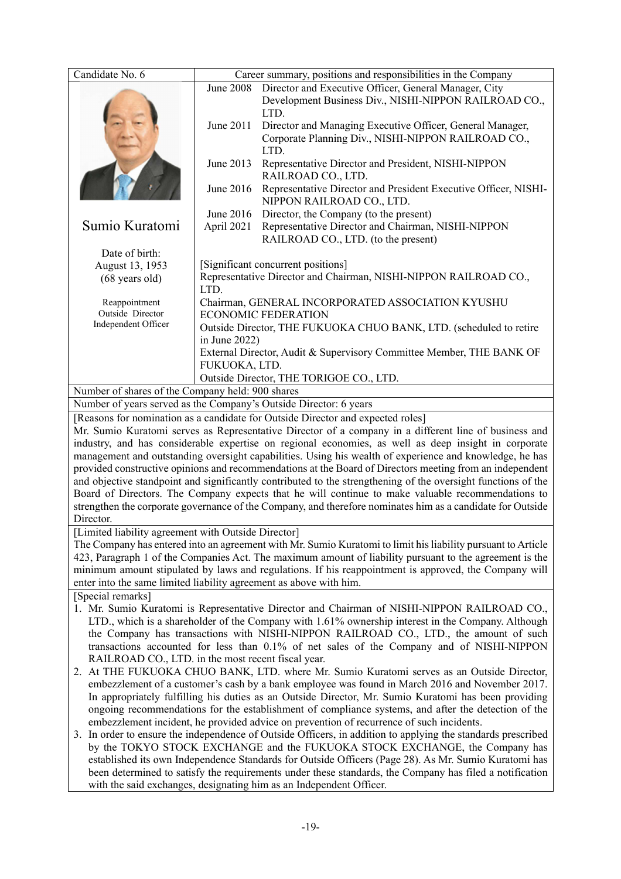| <b>June 2008</b><br>Director and Executive Officer, General Manager, City<br>Development Business Div., NISHI-NIPPON RAILROAD CO.,<br>LTD.<br>June 2011<br>Director and Managing Executive Officer, General Manager,<br>Corporate Planning Div., NISHI-NIPPON RAILROAD CO.,<br>LTD.<br>June 2013<br>Representative Director and President, NISHI-NIPPON<br>RAILROAD CO., LTD.<br>June 2016<br>Representative Director and President Executive Officer, NISHI-<br>NIPPON RAILROAD CO., LTD.<br>June 2016<br>Director, the Company (to the present)<br>Sumio Kuratomi<br>Representative Director and Chairman, NISHI-NIPPON<br>April 2021<br>RAILROAD CO., LTD. (to the present)<br>Date of birth:<br>[Significant concurrent positions]<br>August 13, 1953<br>Representative Director and Chairman, NISHI-NIPPON RAILROAD CO.,<br>$(68 \text{ years old})$<br>LTD.<br>Chairman, GENERAL INCORPORATED ASSOCIATION KYUSHU<br>Reappointment<br>Outside Director<br><b>ECONOMIC FEDERATION</b><br>Independent Officer<br>Outside Director, THE FUKUOKA CHUO BANK, LTD. (scheduled to retire<br>in June $2022$ )<br>External Director, Audit & Supervisory Committee Member, THE BANK OF<br>FUKUOKA, LTD.<br>Outside Director, THE TORIGOE CO., LTD.<br>Number of shares of the Company held: 900 shares<br>Number of years served as the Company's Outside Director: 6 years<br>[Reasons for nomination as a candidate for Outside Director and expected roles] |  |  |
|------------------------------------------------------------------------------------------------------------------------------------------------------------------------------------------------------------------------------------------------------------------------------------------------------------------------------------------------------------------------------------------------------------------------------------------------------------------------------------------------------------------------------------------------------------------------------------------------------------------------------------------------------------------------------------------------------------------------------------------------------------------------------------------------------------------------------------------------------------------------------------------------------------------------------------------------------------------------------------------------------------------------------------------------------------------------------------------------------------------------------------------------------------------------------------------------------------------------------------------------------------------------------------------------------------------------------------------------------------------------------------------------------------------------------------------------------------|--|--|
|                                                                                                                                                                                                                                                                                                                                                                                                                                                                                                                                                                                                                                                                                                                                                                                                                                                                                                                                                                                                                                                                                                                                                                                                                                                                                                                                                                                                                                                            |  |  |
|                                                                                                                                                                                                                                                                                                                                                                                                                                                                                                                                                                                                                                                                                                                                                                                                                                                                                                                                                                                                                                                                                                                                                                                                                                                                                                                                                                                                                                                            |  |  |
|                                                                                                                                                                                                                                                                                                                                                                                                                                                                                                                                                                                                                                                                                                                                                                                                                                                                                                                                                                                                                                                                                                                                                                                                                                                                                                                                                                                                                                                            |  |  |
|                                                                                                                                                                                                                                                                                                                                                                                                                                                                                                                                                                                                                                                                                                                                                                                                                                                                                                                                                                                                                                                                                                                                                                                                                                                                                                                                                                                                                                                            |  |  |
|                                                                                                                                                                                                                                                                                                                                                                                                                                                                                                                                                                                                                                                                                                                                                                                                                                                                                                                                                                                                                                                                                                                                                                                                                                                                                                                                                                                                                                                            |  |  |
|                                                                                                                                                                                                                                                                                                                                                                                                                                                                                                                                                                                                                                                                                                                                                                                                                                                                                                                                                                                                                                                                                                                                                                                                                                                                                                                                                                                                                                                            |  |  |
|                                                                                                                                                                                                                                                                                                                                                                                                                                                                                                                                                                                                                                                                                                                                                                                                                                                                                                                                                                                                                                                                                                                                                                                                                                                                                                                                                                                                                                                            |  |  |
|                                                                                                                                                                                                                                                                                                                                                                                                                                                                                                                                                                                                                                                                                                                                                                                                                                                                                                                                                                                                                                                                                                                                                                                                                                                                                                                                                                                                                                                            |  |  |
|                                                                                                                                                                                                                                                                                                                                                                                                                                                                                                                                                                                                                                                                                                                                                                                                                                                                                                                                                                                                                                                                                                                                                                                                                                                                                                                                                                                                                                                            |  |  |
|                                                                                                                                                                                                                                                                                                                                                                                                                                                                                                                                                                                                                                                                                                                                                                                                                                                                                                                                                                                                                                                                                                                                                                                                                                                                                                                                                                                                                                                            |  |  |
|                                                                                                                                                                                                                                                                                                                                                                                                                                                                                                                                                                                                                                                                                                                                                                                                                                                                                                                                                                                                                                                                                                                                                                                                                                                                                                                                                                                                                                                            |  |  |
|                                                                                                                                                                                                                                                                                                                                                                                                                                                                                                                                                                                                                                                                                                                                                                                                                                                                                                                                                                                                                                                                                                                                                                                                                                                                                                                                                                                                                                                            |  |  |
|                                                                                                                                                                                                                                                                                                                                                                                                                                                                                                                                                                                                                                                                                                                                                                                                                                                                                                                                                                                                                                                                                                                                                                                                                                                                                                                                                                                                                                                            |  |  |
|                                                                                                                                                                                                                                                                                                                                                                                                                                                                                                                                                                                                                                                                                                                                                                                                                                                                                                                                                                                                                                                                                                                                                                                                                                                                                                                                                                                                                                                            |  |  |
|                                                                                                                                                                                                                                                                                                                                                                                                                                                                                                                                                                                                                                                                                                                                                                                                                                                                                                                                                                                                                                                                                                                                                                                                                                                                                                                                                                                                                                                            |  |  |
| Mr. Sumio Kuratomi serves as Representative Director of a company in a different line of business and                                                                                                                                                                                                                                                                                                                                                                                                                                                                                                                                                                                                                                                                                                                                                                                                                                                                                                                                                                                                                                                                                                                                                                                                                                                                                                                                                      |  |  |
| industry, and has considerable expertise on regional economies, as well as deep insight in corporate<br>management and outstanding oversight capabilities. Using his wealth of experience and knowledge, he has<br>provided constructive opinions and recommendations at the Board of Directors meeting from an independent                                                                                                                                                                                                                                                                                                                                                                                                                                                                                                                                                                                                                                                                                                                                                                                                                                                                                                                                                                                                                                                                                                                                |  |  |
| and objective standpoint and significantly contributed to the strengthening of the oversight functions of the                                                                                                                                                                                                                                                                                                                                                                                                                                                                                                                                                                                                                                                                                                                                                                                                                                                                                                                                                                                                                                                                                                                                                                                                                                                                                                                                              |  |  |
| Board of Directors. The Company expects that he will continue to make valuable recommendations to                                                                                                                                                                                                                                                                                                                                                                                                                                                                                                                                                                                                                                                                                                                                                                                                                                                                                                                                                                                                                                                                                                                                                                                                                                                                                                                                                          |  |  |
| strengthen the corporate governance of the Company, and therefore nominates him as a candidate for Outside                                                                                                                                                                                                                                                                                                                                                                                                                                                                                                                                                                                                                                                                                                                                                                                                                                                                                                                                                                                                                                                                                                                                                                                                                                                                                                                                                 |  |  |
| Director.                                                                                                                                                                                                                                                                                                                                                                                                                                                                                                                                                                                                                                                                                                                                                                                                                                                                                                                                                                                                                                                                                                                                                                                                                                                                                                                                                                                                                                                  |  |  |
| [Limited liability agreement with Outside Director]                                                                                                                                                                                                                                                                                                                                                                                                                                                                                                                                                                                                                                                                                                                                                                                                                                                                                                                                                                                                                                                                                                                                                                                                                                                                                                                                                                                                        |  |  |
| The Company has entered into an agreement with Mr. Sumio Kuratomi to limit his liability pursuant to Article<br>423, Paragraph 1 of the Companies Act. The maximum amount of liability pursuant to the agreement is the                                                                                                                                                                                                                                                                                                                                                                                                                                                                                                                                                                                                                                                                                                                                                                                                                                                                                                                                                                                                                                                                                                                                                                                                                                    |  |  |
| minimum amount stipulated by laws and regulations. If his reappointment is approved, the Company will                                                                                                                                                                                                                                                                                                                                                                                                                                                                                                                                                                                                                                                                                                                                                                                                                                                                                                                                                                                                                                                                                                                                                                                                                                                                                                                                                      |  |  |
| enter into the same limited liability agreement as above with him.                                                                                                                                                                                                                                                                                                                                                                                                                                                                                                                                                                                                                                                                                                                                                                                                                                                                                                                                                                                                                                                                                                                                                                                                                                                                                                                                                                                         |  |  |
| [Special remarks]                                                                                                                                                                                                                                                                                                                                                                                                                                                                                                                                                                                                                                                                                                                                                                                                                                                                                                                                                                                                                                                                                                                                                                                                                                                                                                                                                                                                                                          |  |  |
| 1. Mr. Sumio Kuratomi is Representative Director and Chairman of NISHI-NIPPON RAILROAD CO.,                                                                                                                                                                                                                                                                                                                                                                                                                                                                                                                                                                                                                                                                                                                                                                                                                                                                                                                                                                                                                                                                                                                                                                                                                                                                                                                                                                |  |  |
| LTD., which is a shareholder of the Company with 1.61% ownership interest in the Company. Although                                                                                                                                                                                                                                                                                                                                                                                                                                                                                                                                                                                                                                                                                                                                                                                                                                                                                                                                                                                                                                                                                                                                                                                                                                                                                                                                                         |  |  |
| the Company has transactions with NISHI-NIPPON RAILROAD CO., LTD., the amount of such                                                                                                                                                                                                                                                                                                                                                                                                                                                                                                                                                                                                                                                                                                                                                                                                                                                                                                                                                                                                                                                                                                                                                                                                                                                                                                                                                                      |  |  |
| transactions accounted for less than 0.1% of net sales of the Company and of NISHI-NIPPON<br>RAILROAD CO., LTD. in the most recent fiscal year.                                                                                                                                                                                                                                                                                                                                                                                                                                                                                                                                                                                                                                                                                                                                                                                                                                                                                                                                                                                                                                                                                                                                                                                                                                                                                                            |  |  |
| 2. At THE FUKUOKA CHUO BANK, LTD. where Mr. Sumio Kuratomi serves as an Outside Director,                                                                                                                                                                                                                                                                                                                                                                                                                                                                                                                                                                                                                                                                                                                                                                                                                                                                                                                                                                                                                                                                                                                                                                                                                                                                                                                                                                  |  |  |
| embezzlement of a customer's cash by a bank employee was found in March 2016 and November 2017.                                                                                                                                                                                                                                                                                                                                                                                                                                                                                                                                                                                                                                                                                                                                                                                                                                                                                                                                                                                                                                                                                                                                                                                                                                                                                                                                                            |  |  |
| In appropriately fulfilling his duties as an Outside Director, Mr. Sumio Kuratomi has been providing                                                                                                                                                                                                                                                                                                                                                                                                                                                                                                                                                                                                                                                                                                                                                                                                                                                                                                                                                                                                                                                                                                                                                                                                                                                                                                                                                       |  |  |
| ongoing recommendations for the establishment of compliance systems, and after the detection of the                                                                                                                                                                                                                                                                                                                                                                                                                                                                                                                                                                                                                                                                                                                                                                                                                                                                                                                                                                                                                                                                                                                                                                                                                                                                                                                                                        |  |  |
| embezzlement incident, he provided advice on prevention of recurrence of such incidents.<br>3. In order to ensure the independence of Outside Officers, in addition to applying the standards prescribed                                                                                                                                                                                                                                                                                                                                                                                                                                                                                                                                                                                                                                                                                                                                                                                                                                                                                                                                                                                                                                                                                                                                                                                                                                                   |  |  |
| by the TOKYO STOCK EXCHANGE and the FUKUOKA STOCK EXCHANGE, the Company has                                                                                                                                                                                                                                                                                                                                                                                                                                                                                                                                                                                                                                                                                                                                                                                                                                                                                                                                                                                                                                                                                                                                                                                                                                                                                                                                                                                |  |  |
| established its own Independence Standards for Outside Officers (Page 28). As Mr. Sumio Kuratomi has                                                                                                                                                                                                                                                                                                                                                                                                                                                                                                                                                                                                                                                                                                                                                                                                                                                                                                                                                                                                                                                                                                                                                                                                                                                                                                                                                       |  |  |
| been determined to satisfy the requirements under these standards, the Company has filed a notification                                                                                                                                                                                                                                                                                                                                                                                                                                                                                                                                                                                                                                                                                                                                                                                                                                                                                                                                                                                                                                                                                                                                                                                                                                                                                                                                                    |  |  |
| with the said exchanges, designating him as an Independent Officer.                                                                                                                                                                                                                                                                                                                                                                                                                                                                                                                                                                                                                                                                                                                                                                                                                                                                                                                                                                                                                                                                                                                                                                                                                                                                                                                                                                                        |  |  |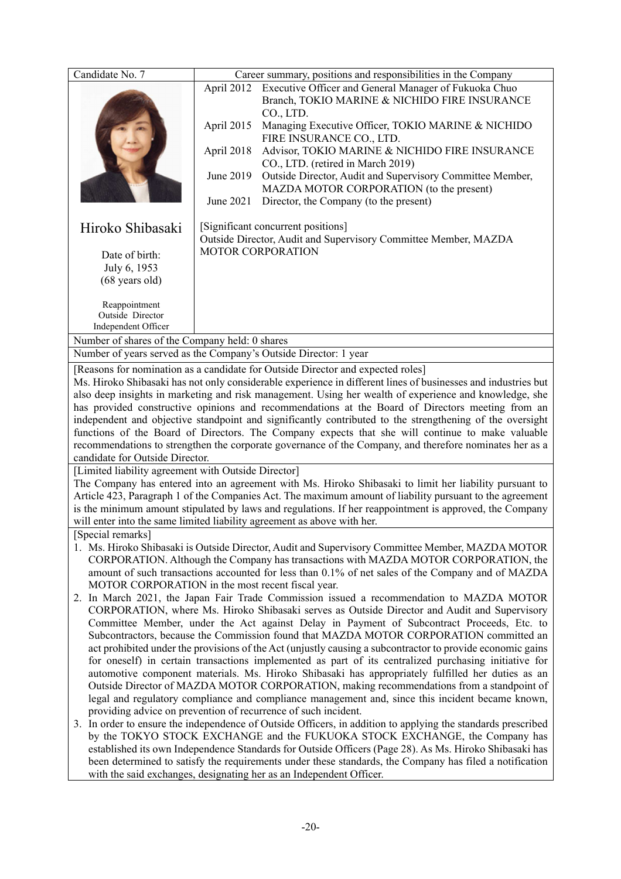| Candidate No. 7                                                                                                                                                                               |                                                                                                  | Career summary, positions and responsibilities in the Company                                                 |  |  |
|-----------------------------------------------------------------------------------------------------------------------------------------------------------------------------------------------|--------------------------------------------------------------------------------------------------|---------------------------------------------------------------------------------------------------------------|--|--|
|                                                                                                                                                                                               | April 2012                                                                                       | Executive Officer and General Manager of Fukuoka Chuo                                                         |  |  |
|                                                                                                                                                                                               |                                                                                                  | Branch, TOKIO MARINE & NICHIDO FIRE INSURANCE                                                                 |  |  |
|                                                                                                                                                                                               |                                                                                                  | CO., LTD.                                                                                                     |  |  |
|                                                                                                                                                                                               | April 2015                                                                                       | Managing Executive Officer, TOKIO MARINE & NICHIDO                                                            |  |  |
|                                                                                                                                                                                               |                                                                                                  | FIRE INSURANCE CO., LTD.                                                                                      |  |  |
|                                                                                                                                                                                               | April 2018                                                                                       | Advisor, TOKIO MARINE & NICHIDO FIRE INSURANCE                                                                |  |  |
|                                                                                                                                                                                               |                                                                                                  | CO., LTD. (retired in March 2019)                                                                             |  |  |
|                                                                                                                                                                                               | June 2019                                                                                        | Outside Director, Audit and Supervisory Committee Member,                                                     |  |  |
|                                                                                                                                                                                               |                                                                                                  | MAZDA MOTOR CORPORATION (to the present)                                                                      |  |  |
|                                                                                                                                                                                               | June 2021                                                                                        | Director, the Company (to the present)                                                                        |  |  |
|                                                                                                                                                                                               |                                                                                                  |                                                                                                               |  |  |
| Hiroko Shibasaki                                                                                                                                                                              |                                                                                                  | [Significant concurrent positions]<br>Outside Director, Audit and Supervisory Committee Member, MAZDA         |  |  |
|                                                                                                                                                                                               | <b>MOTOR CORPORATION</b>                                                                         |                                                                                                               |  |  |
| Date of birth:                                                                                                                                                                                |                                                                                                  |                                                                                                               |  |  |
| July 6, 1953                                                                                                                                                                                  |                                                                                                  |                                                                                                               |  |  |
| (68 years old)                                                                                                                                                                                |                                                                                                  |                                                                                                               |  |  |
| Reappointment                                                                                                                                                                                 |                                                                                                  |                                                                                                               |  |  |
| Outside Director                                                                                                                                                                              |                                                                                                  |                                                                                                               |  |  |
| Independent Officer                                                                                                                                                                           |                                                                                                  |                                                                                                               |  |  |
| Number of shares of the Company held: 0 shares                                                                                                                                                |                                                                                                  |                                                                                                               |  |  |
| Number of years served as the Company's Outside Director: 1 year                                                                                                                              |                                                                                                  |                                                                                                               |  |  |
|                                                                                                                                                                                               |                                                                                                  | [Reasons for nomination as a candidate for Outside Director and expected roles]                               |  |  |
|                                                                                                                                                                                               |                                                                                                  | Ms. Hiroko Shibasaki has not only considerable experience in different lines of businesses and industries but |  |  |
|                                                                                                                                                                                               |                                                                                                  | also deep insights in marketing and risk management. Using her wealth of experience and knowledge, she        |  |  |
|                                                                                                                                                                                               | has provided constructive opinions and recommendations at the Board of Directors meeting from an |                                                                                                               |  |  |
| independent and objective standpoint and significantly contributed to the strengthening of the oversight                                                                                      |                                                                                                  |                                                                                                               |  |  |
| functions of the Board of Directors. The Company expects that she will continue to make valuable                                                                                              |                                                                                                  |                                                                                                               |  |  |
| recommendations to strengthen the corporate governance of the Company, and therefore nominates her as a                                                                                       |                                                                                                  |                                                                                                               |  |  |
| candidate for Outside Director.                                                                                                                                                               |                                                                                                  |                                                                                                               |  |  |
| [Limited liability agreement with Outside Director]                                                                                                                                           |                                                                                                  |                                                                                                               |  |  |
| The Company has entered into an agreement with Ms. Hiroko Shibasaki to limit her liability pursuant to                                                                                        |                                                                                                  |                                                                                                               |  |  |
| Article 423, Paragraph 1 of the Companies Act. The maximum amount of liability pursuant to the agreement                                                                                      |                                                                                                  |                                                                                                               |  |  |
| is the minimum amount stipulated by laws and regulations. If her reappointment is approved, the Company                                                                                       |                                                                                                  |                                                                                                               |  |  |
| will enter into the same limited liability agreement as above with her.                                                                                                                       |                                                                                                  |                                                                                                               |  |  |
| [Special remarks]                                                                                                                                                                             |                                                                                                  |                                                                                                               |  |  |
|                                                                                                                                                                                               |                                                                                                  | 1. Ms. Hiroko Shibasaki is Outside Director, Audit and Supervisory Committee Member, MAZDA MOTOR              |  |  |
|                                                                                                                                                                                               |                                                                                                  | CORPORATION. Although the Company has transactions with MAZDA MOTOR CORPORATION, the                          |  |  |
| amount of such transactions accounted for less than 0.1% of net sales of the Company and of MAZDA                                                                                             |                                                                                                  |                                                                                                               |  |  |
| MOTOR CORPORATION in the most recent fiscal year.                                                                                                                                             |                                                                                                  |                                                                                                               |  |  |
| 2. In March 2021, the Japan Fair Trade Commission issued a recommendation to MAZDA MOTOR<br>CORPORATION, where Ms. Hiroko Shibasaki serves as Outside Director and Audit and Supervisory      |                                                                                                  |                                                                                                               |  |  |
|                                                                                                                                                                                               |                                                                                                  |                                                                                                               |  |  |
| Committee Member, under the Act against Delay in Payment of Subcontract Proceeds, Etc. to                                                                                                     |                                                                                                  |                                                                                                               |  |  |
|                                                                                                                                                                                               | Subcontractors, because the Commission found that MAZDA MOTOR CORPORATION committed an           |                                                                                                               |  |  |
| act prohibited under the provisions of the Act (unjustly causing a subcontractor to provide economic gains                                                                                    |                                                                                                  |                                                                                                               |  |  |
| for oneself) in certain transactions implemented as part of its centralized purchasing initiative for                                                                                         |                                                                                                  |                                                                                                               |  |  |
| automotive component materials. Ms. Hiroko Shibasaki has appropriately fulfilled her duties as an<br>Outside Director of MAZDA MOTOR CORPORATION, making recommendations from a standpoint of |                                                                                                  |                                                                                                               |  |  |
|                                                                                                                                                                                               |                                                                                                  | legal and regulatory compliance and compliance management and, since this incident became known,              |  |  |
| providing advice on prevention of recurrence of such incident.                                                                                                                                |                                                                                                  |                                                                                                               |  |  |
|                                                                                                                                                                                               |                                                                                                  | 3. In order to ensure the independence of Outside Officers, in addition to applying the standards prescribed  |  |  |
|                                                                                                                                                                                               |                                                                                                  | by the TOKYO STOCK EXCHANGE and the FUKUOKA STOCK EXCHANGE, the Company has                                   |  |  |
|                                                                                                                                                                                               |                                                                                                  | established its own Independence Standards for Outside Officers (Page 28). As Ms. Hiroko Shibasaki has        |  |  |
|                                                                                                                                                                                               |                                                                                                  | been determined to satisfy the requirements under these standards, the Company has filed a notification       |  |  |
|                                                                                                                                                                                               | with the said exchanges, designating her as an Independent Officer.                              |                                                                                                               |  |  |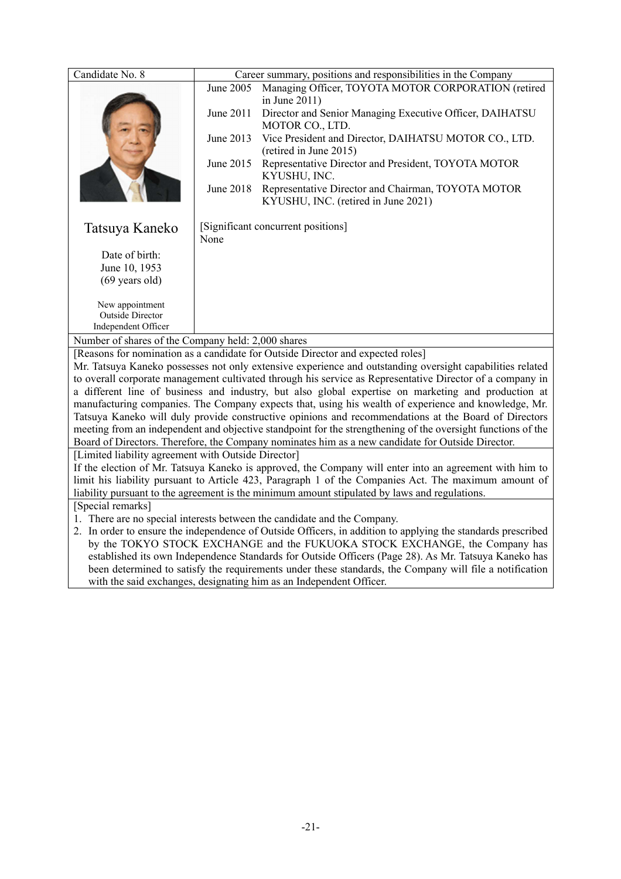| Candidate No. 8                                                                                                                                          |                                                                                                                                                                                                                      |                                                                                                                      |  |  |
|----------------------------------------------------------------------------------------------------------------------------------------------------------|----------------------------------------------------------------------------------------------------------------------------------------------------------------------------------------------------------------------|----------------------------------------------------------------------------------------------------------------------|--|--|
|                                                                                                                                                          | June 2005                                                                                                                                                                                                            | Career summary, positions and responsibilities in the Company<br>Managing Officer, TOYOTA MOTOR CORPORATION (retired |  |  |
|                                                                                                                                                          |                                                                                                                                                                                                                      | in June $2011$ )                                                                                                     |  |  |
|                                                                                                                                                          | June 2011                                                                                                                                                                                                            | Director and Senior Managing Executive Officer, DAIHATSU                                                             |  |  |
|                                                                                                                                                          |                                                                                                                                                                                                                      | MOTOR CO., LTD.                                                                                                      |  |  |
|                                                                                                                                                          | June 2013                                                                                                                                                                                                            | Vice President and Director, DAIHATSU MOTOR CO., LTD.                                                                |  |  |
|                                                                                                                                                          |                                                                                                                                                                                                                      | (retired in June 2015)                                                                                               |  |  |
|                                                                                                                                                          | June 2015                                                                                                                                                                                                            | Representative Director and President, TOYOTA MOTOR                                                                  |  |  |
|                                                                                                                                                          |                                                                                                                                                                                                                      | KYUSHU, INC.                                                                                                         |  |  |
|                                                                                                                                                          | June 2018                                                                                                                                                                                                            | Representative Director and Chairman, TOYOTA MOTOR                                                                   |  |  |
|                                                                                                                                                          |                                                                                                                                                                                                                      | KYUSHU, INC. (retired in June 2021)                                                                                  |  |  |
|                                                                                                                                                          |                                                                                                                                                                                                                      | [Significant concurrent positions]                                                                                   |  |  |
| Tatsuya Kaneko                                                                                                                                           | None                                                                                                                                                                                                                 |                                                                                                                      |  |  |
|                                                                                                                                                          |                                                                                                                                                                                                                      |                                                                                                                      |  |  |
| Date of birth:<br>June 10, 1953                                                                                                                          |                                                                                                                                                                                                                      |                                                                                                                      |  |  |
| $(69 \text{ years old})$                                                                                                                                 |                                                                                                                                                                                                                      |                                                                                                                      |  |  |
|                                                                                                                                                          |                                                                                                                                                                                                                      |                                                                                                                      |  |  |
| New appointment                                                                                                                                          |                                                                                                                                                                                                                      |                                                                                                                      |  |  |
| Outside Director                                                                                                                                         |                                                                                                                                                                                                                      |                                                                                                                      |  |  |
| Independent Officer                                                                                                                                      |                                                                                                                                                                                                                      |                                                                                                                      |  |  |
| Number of shares of the Company held: 2,000 shares                                                                                                       |                                                                                                                                                                                                                      |                                                                                                                      |  |  |
| [Reasons for nomination as a candidate for Outside Director and expected roles]                                                                          |                                                                                                                                                                                                                      |                                                                                                                      |  |  |
| Mr. Tatsuya Kaneko possesses not only extensive experience and outstanding oversight capabilities related                                                |                                                                                                                                                                                                                      |                                                                                                                      |  |  |
| to overall corporate management cultivated through his service as Representative Director of a company in                                                |                                                                                                                                                                                                                      |                                                                                                                      |  |  |
| a different line of business and industry, but also global expertise on marketing and production at                                                      |                                                                                                                                                                                                                      |                                                                                                                      |  |  |
| manufacturing companies. The Company expects that, using his wealth of experience and knowledge, Mr.                                                     |                                                                                                                                                                                                                      |                                                                                                                      |  |  |
|                                                                                                                                                          | Tatsuya Kaneko will duly provide constructive opinions and recommendations at the Board of Directors<br>meeting from an independent and objective standpoint for the strengthening of the oversight functions of the |                                                                                                                      |  |  |
|                                                                                                                                                          |                                                                                                                                                                                                                      |                                                                                                                      |  |  |
| Board of Directors. Therefore, the Company nominates him as a new candidate for Outside Director.<br>[Limited liability agreement with Outside Director] |                                                                                                                                                                                                                      |                                                                                                                      |  |  |
|                                                                                                                                                          |                                                                                                                                                                                                                      | If the election of Mr. Tatsuya Kaneko is approved, the Company will enter into an agreement with him to              |  |  |
| limit his liability pursuant to Article 423, Paragraph 1 of the Companies Act. The maximum amount of                                                     |                                                                                                                                                                                                                      |                                                                                                                      |  |  |
| liability pursuant to the agreement is the minimum amount stipulated by laws and regulations.                                                            |                                                                                                                                                                                                                      |                                                                                                                      |  |  |
| [Special remarks]                                                                                                                                        |                                                                                                                                                                                                                      |                                                                                                                      |  |  |
|                                                                                                                                                          |                                                                                                                                                                                                                      | 1. There are no special interests between the candidate and the Company.                                             |  |  |
|                                                                                                                                                          |                                                                                                                                                                                                                      | 2. In order to ensure the independence of Outside Officers, in addition to applying the standards prescribed         |  |  |
|                                                                                                                                                          |                                                                                                                                                                                                                      | by the TOKYO STOCK EXCHANGE and the FUKUOKA STOCK EXCHANGE, the Company has                                          |  |  |
| established its own Independence Standards for Outside Officers (Page 28). As Mr. Tatsuya Kaneko has                                                     |                                                                                                                                                                                                                      |                                                                                                                      |  |  |
| been determined to satisfy the requirements under these standards, the Company will file a notification                                                  |                                                                                                                                                                                                                      |                                                                                                                      |  |  |
| with the said exchanges, designating him as an Independent Officer.                                                                                      |                                                                                                                                                                                                                      |                                                                                                                      |  |  |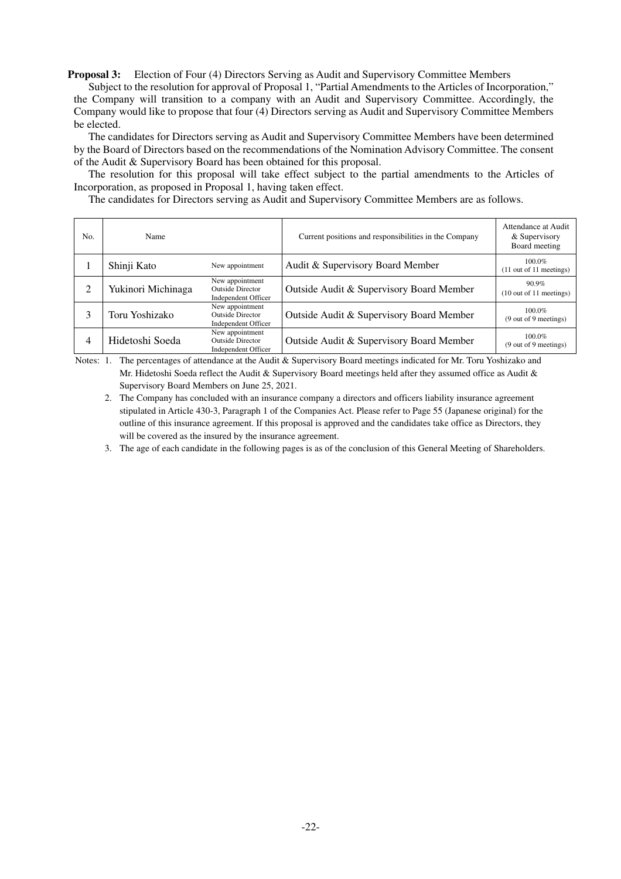**Proposal 3:** Election of Four (4) Directors Serving as Audit and Supervisory Committee Members

Subject to the resolution for approval of Proposal 1, "Partial Amendments to the Articles of Incorporation," the Company will transition to a company with an Audit and Supervisory Committee. Accordingly, the Company would like to propose that four (4) Directors serving as Audit and Supervisory Committee Members be elected.

The candidates for Directors serving as Audit and Supervisory Committee Members have been determined by the Board of Directors based on the recommendations of the Nomination Advisory Committee. The consent of the Audit & Supervisory Board has been obtained for this proposal.

The resolution for this proposal will take effect subject to the partial amendments to the Articles of Incorporation, as proposed in Proposal 1, having taken effect.

The candidates for Directors serving as Audit and Supervisory Committee Members are as follows.

| No.            | Name               |                                                                   | Current positions and responsibilities in the Company | Attendance at Audit<br>& Supervisory<br>Board meeting  |
|----------------|--------------------|-------------------------------------------------------------------|-------------------------------------------------------|--------------------------------------------------------|
|                | Shinji Kato        | New appointment                                                   | Audit & Supervisory Board Member                      | $100.0\%$<br>$(11$ out of 11 meetings)                 |
| 2              | Yukinori Michinaga | New appointment<br><b>Outside Director</b><br>Independent Officer | Outside Audit & Supervisory Board Member              | $90.9\%$<br>$(10 \text{ out of } 11 \text{ meetings})$ |
| 3              | Toru Yoshizako     | New appointment<br><b>Outside Director</b><br>Independent Officer | Outside Audit & Supervisory Board Member              | $100.0\%$<br>(9 out of 9 meetings)                     |
| $\overline{4}$ | Hidetoshi Soeda    | New appointment<br><b>Outside Director</b><br>Independent Officer | Outside Audit & Supervisory Board Member              | $100.0\%$<br>(9 out of 9 meetings)                     |

Notes: 1. The percentages of attendance at the Audit & Supervisory Board meetings indicated for Mr. Toru Yoshizako and Mr. Hidetoshi Soeda reflect the Audit & Supervisory Board meetings held after they assumed office as Audit & Supervisory Board Members on June 25, 2021.

 2. The Company has concluded with an insurance company a directors and officers liability insurance agreement stipulated in Article 430-3, Paragraph 1 of the Companies Act. Please refer to Page 55 (Japanese original) for the outline of this insurance agreement. If this proposal is approved and the candidates take office as Directors, they will be covered as the insured by the insurance agreement.

3. The age of each candidate in the following pages is as of the conclusion of this General Meeting of Shareholders.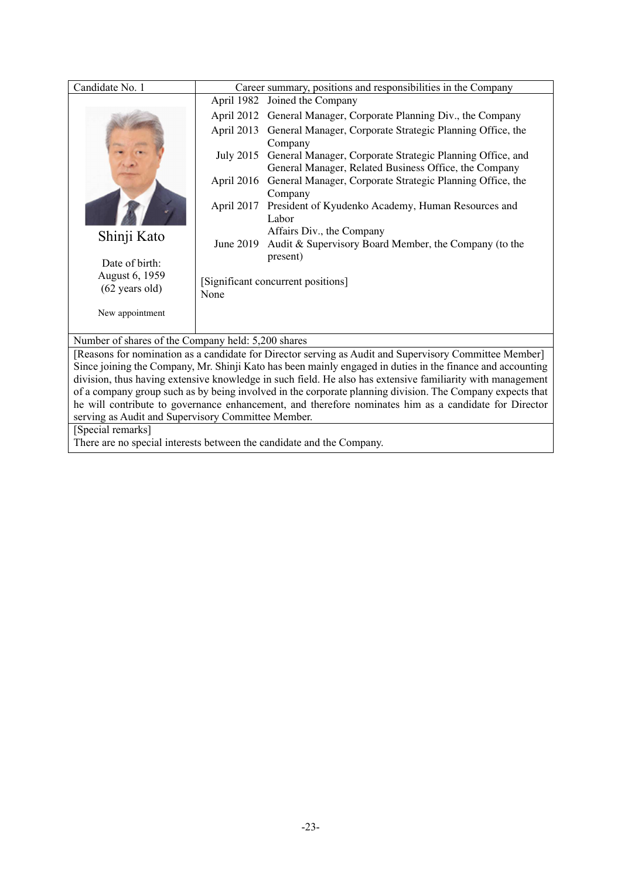| Candidate No. 1                                                                                            | Career summary, positions and responsibilities in the Company                                                                    |  |  |
|------------------------------------------------------------------------------------------------------------|----------------------------------------------------------------------------------------------------------------------------------|--|--|
|                                                                                                            | Joined the Company<br>April 1982                                                                                                 |  |  |
|                                                                                                            | General Manager, Corporate Planning Div., the Company<br>April 2012                                                              |  |  |
|                                                                                                            | April 2013<br>General Manager, Corporate Strategic Planning Office, the                                                          |  |  |
|                                                                                                            | Company                                                                                                                          |  |  |
|                                                                                                            | July 2015<br>General Manager, Corporate Strategic Planning Office, and                                                           |  |  |
|                                                                                                            | General Manager, Related Business Office, the Company<br>General Manager, Corporate Strategic Planning Office, the<br>April 2016 |  |  |
|                                                                                                            | Company                                                                                                                          |  |  |
|                                                                                                            | April 2017<br>President of Kyudenko Academy, Human Resources and                                                                 |  |  |
|                                                                                                            | Labor                                                                                                                            |  |  |
| Shinji Kato                                                                                                | Affairs Div., the Company                                                                                                        |  |  |
|                                                                                                            | June 2019<br>Audit & Supervisory Board Member, the Company (to the                                                               |  |  |
| Date of birth:                                                                                             | present)                                                                                                                         |  |  |
| August 6, 1959                                                                                             | [Significant concurrent positions]                                                                                               |  |  |
| $(62 \text{ years old})$                                                                                   | None                                                                                                                             |  |  |
| New appointment                                                                                            |                                                                                                                                  |  |  |
|                                                                                                            |                                                                                                                                  |  |  |
|                                                                                                            | Number of shares of the Company held: 5,200 shares                                                                               |  |  |
|                                                                                                            | [Reasons for nomination as a candidate for Director serving as Audit and Supervisory Committee Member]                           |  |  |
|                                                                                                            | Since joining the Company, Mr. Shinji Kato has been mainly engaged in duties in the finance and accounting                       |  |  |
| division, thus having extensive knowledge in such field. He also has extensive familiarity with management |                                                                                                                                  |  |  |
| of a company group such as by being involved in the corporate planning division. The Company expects that  |                                                                                                                                  |  |  |
| he will contribute to governance enhancement, and therefore nominates him as a candidate for Director      |                                                                                                                                  |  |  |
| serving as Audit and Supervisory Committee Member.                                                         |                                                                                                                                  |  |  |
| [Special remarks]<br>There are no special interests between the candidate and the Company.                 |                                                                                                                                  |  |  |
|                                                                                                            |                                                                                                                                  |  |  |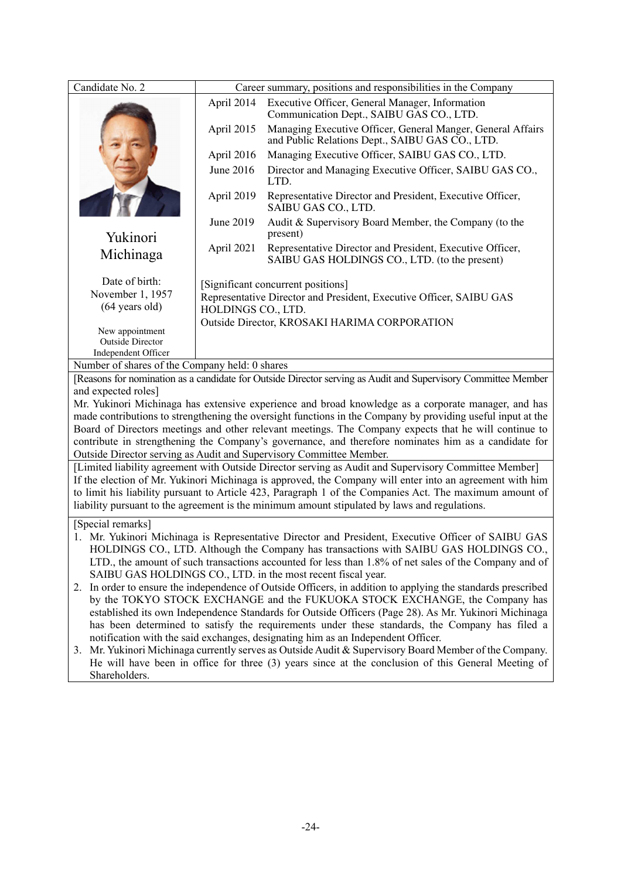| Candidate No. 2                                                                                                                                                                                               |                                                                                                                                                                                                        | Career summary, positions and responsibilities in the Company                                                  |  |  |
|---------------------------------------------------------------------------------------------------------------------------------------------------------------------------------------------------------------|--------------------------------------------------------------------------------------------------------------------------------------------------------------------------------------------------------|----------------------------------------------------------------------------------------------------------------|--|--|
|                                                                                                                                                                                                               | April 2014                                                                                                                                                                                             | Executive Officer, General Manager, Information<br>Communication Dept., SAIBU GAS CO., LTD.                    |  |  |
|                                                                                                                                                                                                               | April 2015                                                                                                                                                                                             | Managing Executive Officer, General Manger, General Affairs<br>and Public Relations Dept., SAIBU GAS CO., LTD. |  |  |
|                                                                                                                                                                                                               | April 2016                                                                                                                                                                                             | Managing Executive Officer, SAIBU GAS CO., LTD.                                                                |  |  |
|                                                                                                                                                                                                               | June 2016                                                                                                                                                                                              | Director and Managing Executive Officer, SAIBU GAS CO.,<br>LTD.                                                |  |  |
|                                                                                                                                                                                                               | April 2019                                                                                                                                                                                             | Representative Director and President, Executive Officer,<br>SAIBU GAS CO., LTD.                               |  |  |
| Yukinori                                                                                                                                                                                                      | June 2019                                                                                                                                                                                              | Audit & Supervisory Board Member, the Company (to the<br>present)                                              |  |  |
| Michinaga                                                                                                                                                                                                     | April 2021                                                                                                                                                                                             | Representative Director and President, Executive Officer,<br>SAIBU GAS HOLDINGS CO., LTD. (to the present)     |  |  |
| Date of birth:                                                                                                                                                                                                |                                                                                                                                                                                                        | [Significant concurrent positions]                                                                             |  |  |
| November 1, 1957                                                                                                                                                                                              |                                                                                                                                                                                                        | Representative Director and President, Executive Officer, SAIBU GAS                                            |  |  |
| $(64 \text{ years old})$                                                                                                                                                                                      | HOLDINGS CO., LTD.                                                                                                                                                                                     |                                                                                                                |  |  |
| New appointment                                                                                                                                                                                               |                                                                                                                                                                                                        | Outside Director, KROSAKI HARIMA CORPORATION                                                                   |  |  |
| <b>Outside Director</b>                                                                                                                                                                                       |                                                                                                                                                                                                        |                                                                                                                |  |  |
| Independent Officer<br>Number of shares of the Company held: 0 shares                                                                                                                                         |                                                                                                                                                                                                        |                                                                                                                |  |  |
| [Reasons for nomination as a candidate for Outside Director serving as Audit and Supervisory Committee Member                                                                                                 |                                                                                                                                                                                                        |                                                                                                                |  |  |
| and expected roles]                                                                                                                                                                                           |                                                                                                                                                                                                        |                                                                                                                |  |  |
| Mr. Yukinori Michinaga has extensive experience and broad knowledge as a corporate manager, and has                                                                                                           |                                                                                                                                                                                                        |                                                                                                                |  |  |
| made contributions to strengthening the oversight functions in the Company by providing useful input at the                                                                                                   |                                                                                                                                                                                                        |                                                                                                                |  |  |
| Board of Directors meetings and other relevant meetings. The Company expects that he will continue to<br>contribute in strengthening the Company's governance, and therefore nominates him as a candidate for |                                                                                                                                                                                                        |                                                                                                                |  |  |
| Outside Director serving as Audit and Supervisory Committee Member.                                                                                                                                           |                                                                                                                                                                                                        |                                                                                                                |  |  |
| [Limited liability agreement with Outside Director serving as Audit and Supervisory Committee Member]                                                                                                         |                                                                                                                                                                                                        |                                                                                                                |  |  |
|                                                                                                                                                                                                               | If the election of Mr. Yukinori Michinaga is approved, the Company will enter into an agreement with him                                                                                               |                                                                                                                |  |  |
|                                                                                                                                                                                                               | to limit his liability pursuant to Article 423, Paragraph 1 of the Companies Act. The maximum amount of                                                                                                |                                                                                                                |  |  |
| liability pursuant to the agreement is the minimum amount stipulated by laws and regulations.                                                                                                                 |                                                                                                                                                                                                        |                                                                                                                |  |  |
| [Special remarks]                                                                                                                                                                                             |                                                                                                                                                                                                        |                                                                                                                |  |  |
|                                                                                                                                                                                                               |                                                                                                                                                                                                        | 1. Mr. Yukinori Michinaga is Representative Director and President, Executive Officer of SAIBU GAS             |  |  |
| HOLDINGS CO., LTD. Although the Company has transactions with SAIBU GAS HOLDINGS CO.,<br>LTD., the amount of such transactions accounted for less than 1.8% of net sales of the Company and of                |                                                                                                                                                                                                        |                                                                                                                |  |  |
| SAIBU GAS HOLDINGS CO., LTD. in the most recent fiscal year.                                                                                                                                                  |                                                                                                                                                                                                        |                                                                                                                |  |  |
|                                                                                                                                                                                                               | 2. In order to ensure the independence of Outside Officers, in addition to applying the standards prescribed                                                                                           |                                                                                                                |  |  |
| by the TOKYO STOCK EXCHANGE and the FUKUOKA STOCK EXCHANGE, the Company has                                                                                                                                   |                                                                                                                                                                                                        |                                                                                                                |  |  |
|                                                                                                                                                                                                               | established its own Independence Standards for Outside Officers (Page 28). As Mr. Yukinori Michinaga<br>has been determined to satisfy the requirements under these standards, the Company has filed a |                                                                                                                |  |  |
|                                                                                                                                                                                                               |                                                                                                                                                                                                        | notification with the said exchanges, designating him as an Independent Officer.                               |  |  |
|                                                                                                                                                                                                               | 3. Mr. Yukinori Michinaga currently serves as Outside Audit & Supervisory Board Member of the Company.                                                                                                 |                                                                                                                |  |  |
| He will have been in office for three (3) years since at the conclusion of this General Meeting of                                                                                                            |                                                                                                                                                                                                        |                                                                                                                |  |  |
| Shareholders.                                                                                                                                                                                                 |                                                                                                                                                                                                        |                                                                                                                |  |  |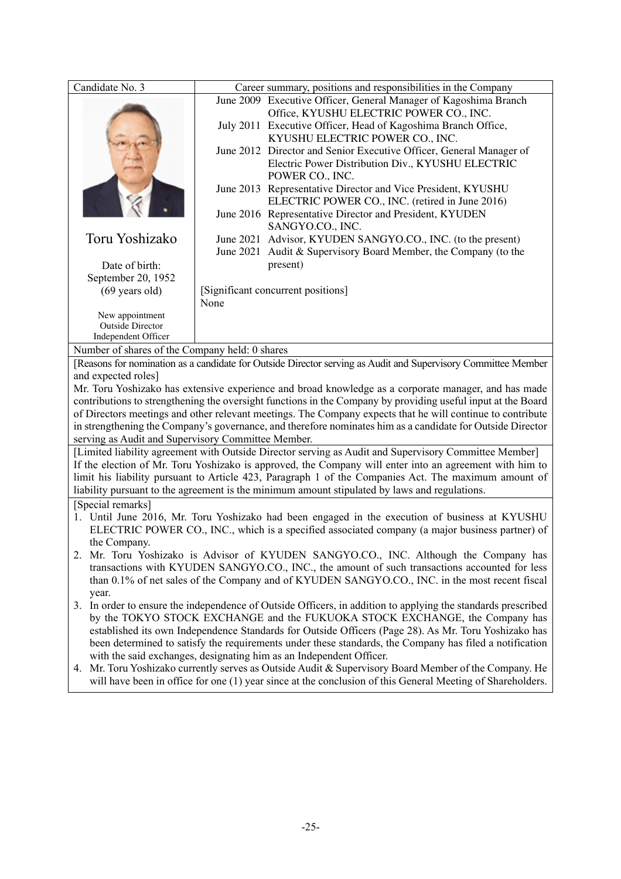| Candidate No. 3                                                                                                                                                 |                                                                                                         | Career summary, positions and responsibilities in the Company                                                   |  |
|-----------------------------------------------------------------------------------------------------------------------------------------------------------------|---------------------------------------------------------------------------------------------------------|-----------------------------------------------------------------------------------------------------------------|--|
|                                                                                                                                                                 |                                                                                                         | June 2009 Executive Officer, General Manager of Kagoshima Branch                                                |  |
|                                                                                                                                                                 |                                                                                                         | Office, KYUSHU ELECTRIC POWER CO., INC.                                                                         |  |
|                                                                                                                                                                 |                                                                                                         | July 2011 Executive Officer, Head of Kagoshima Branch Office,                                                   |  |
|                                                                                                                                                                 |                                                                                                         | KYUSHU ELECTRIC POWER CO., INC.                                                                                 |  |
|                                                                                                                                                                 |                                                                                                         | June 2012 Director and Senior Executive Officer, General Manager of                                             |  |
|                                                                                                                                                                 |                                                                                                         | Electric Power Distribution Div., KYUSHU ELECTRIC                                                               |  |
|                                                                                                                                                                 |                                                                                                         | POWER CO., INC.                                                                                                 |  |
|                                                                                                                                                                 |                                                                                                         | June 2013 Representative Director and Vice President, KYUSHU<br>ELECTRIC POWER CO., INC. (retired in June 2016) |  |
|                                                                                                                                                                 |                                                                                                         | June 2016 Representative Director and President, KYUDEN                                                         |  |
|                                                                                                                                                                 |                                                                                                         | SANGYO.CO., INC.                                                                                                |  |
| Toru Yoshizako                                                                                                                                                  |                                                                                                         | June 2021 Advisor, KYUDEN SANGYO.CO., INC. (to the present)                                                     |  |
|                                                                                                                                                                 |                                                                                                         | June 2021 Audit & Supervisory Board Member, the Company (to the                                                 |  |
| Date of birth:                                                                                                                                                  |                                                                                                         | present)                                                                                                        |  |
| September 20, 1952                                                                                                                                              |                                                                                                         |                                                                                                                 |  |
| $(69 \text{ years old})$                                                                                                                                        |                                                                                                         | [Significant concurrent positions]                                                                              |  |
|                                                                                                                                                                 | None                                                                                                    |                                                                                                                 |  |
| New appointment                                                                                                                                                 |                                                                                                         |                                                                                                                 |  |
| <b>Outside Director</b>                                                                                                                                         |                                                                                                         |                                                                                                                 |  |
| Independent Officer                                                                                                                                             |                                                                                                         |                                                                                                                 |  |
| Number of shares of the Company held: 0 shares<br>[Reasons for nomination as a candidate for Outside Director serving as Audit and Supervisory Committee Member |                                                                                                         |                                                                                                                 |  |
| and expected roles]                                                                                                                                             |                                                                                                         |                                                                                                                 |  |
| Mr. Toru Yoshizako has extensive experience and broad knowledge as a corporate manager, and has made                                                            |                                                                                                         |                                                                                                                 |  |
| contributions to strengthening the oversight functions in the Company by providing useful input at the Board                                                    |                                                                                                         |                                                                                                                 |  |
| of Directors meetings and other relevant meetings. The Company expects that he will continue to contribute                                                      |                                                                                                         |                                                                                                                 |  |
|                                                                                                                                                                 |                                                                                                         | in strengthening the Company's governance, and therefore nominates him as a candidate for Outside Director      |  |
| serving as Audit and Supervisory Committee Member.                                                                                                              |                                                                                                         |                                                                                                                 |  |
| [Limited liability agreement with Outside Director serving as Audit and Supervisory Committee Member]                                                           |                                                                                                         |                                                                                                                 |  |
| If the election of Mr. Toru Yoshizako is approved, the Company will enter into an agreement with him to                                                         |                                                                                                         |                                                                                                                 |  |
| limit his liability pursuant to Article 423, Paragraph 1 of the Companies Act. The maximum amount of                                                            |                                                                                                         |                                                                                                                 |  |
| liability pursuant to the agreement is the minimum amount stipulated by laws and regulations.                                                                   |                                                                                                         |                                                                                                                 |  |
| [Special remarks]                                                                                                                                               |                                                                                                         |                                                                                                                 |  |
|                                                                                                                                                                 | 1. Until June 2016, Mr. Toru Yoshizako had been engaged in the execution of business at KYUSHU          |                                                                                                                 |  |
| ELECTRIC POWER CO., INC., which is a specified associated company (a major business partner) of<br>the Company.                                                 |                                                                                                         |                                                                                                                 |  |
| 2. Mr. Toru Yoshizako is Advisor of KYUDEN SANGYO.CO., INC. Although the Company has                                                                            |                                                                                                         |                                                                                                                 |  |
|                                                                                                                                                                 | transactions with KYUDEN SANGYO.CO., INC., the amount of such transactions accounted for less           |                                                                                                                 |  |
| than 0.1% of net sales of the Company and of KYUDEN SANGYO.CO., INC. in the most recent fiscal                                                                  |                                                                                                         |                                                                                                                 |  |
| year.                                                                                                                                                           |                                                                                                         |                                                                                                                 |  |
|                                                                                                                                                                 |                                                                                                         | 3. In order to ensure the independence of Outside Officers, in addition to applying the standards prescribed    |  |
|                                                                                                                                                                 | by the TOKYO STOCK EXCHANGE and the FUKUOKA STOCK EXCHANGE, the Company has                             |                                                                                                                 |  |
|                                                                                                                                                                 | established its own Independence Standards for Outside Officers (Page 28). As Mr. Toru Yoshizako has    |                                                                                                                 |  |
|                                                                                                                                                                 | been determined to satisfy the requirements under these standards, the Company has filed a notification |                                                                                                                 |  |
|                                                                                                                                                                 | with the said exchanges, designating him as an Independent Officer.                                     |                                                                                                                 |  |
|                                                                                                                                                                 |                                                                                                         | 4. Mr. Toru Yoshizako currently serves as Outside Audit & Supervisory Board Member of the Company. He           |  |
|                                                                                                                                                                 |                                                                                                         | will have been in office for one (1) year since at the conclusion of this General Meeting of Shareholders.      |  |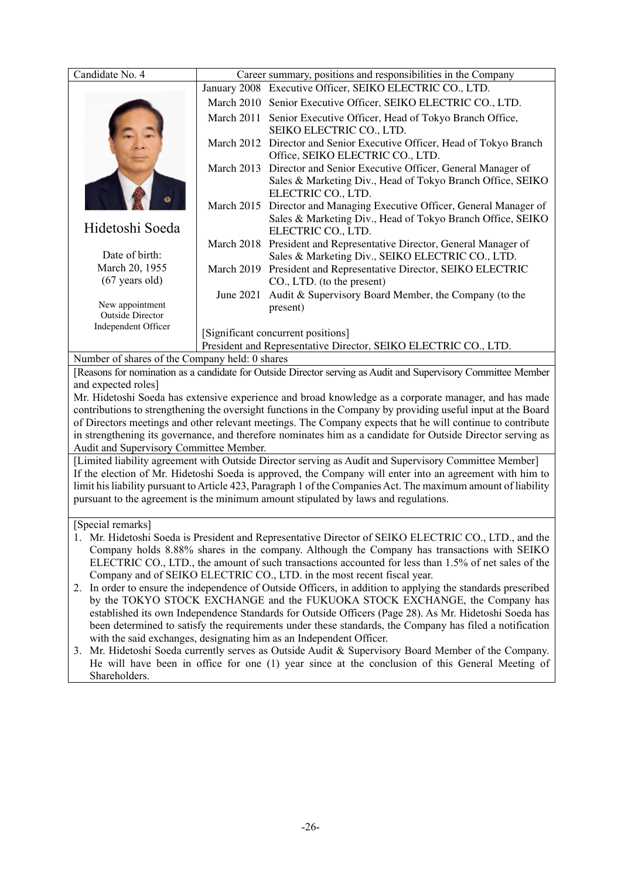| Candidate No. 4                                                                                                                                                                                                       |            |                                                                                                                                                            |  |  |  |  |  |  |  |  |
|-----------------------------------------------------------------------------------------------------------------------------------------------------------------------------------------------------------------------|------------|------------------------------------------------------------------------------------------------------------------------------------------------------------|--|--|--|--|--|--|--|--|
|                                                                                                                                                                                                                       |            | Career summary, positions and responsibilities in the Company<br>January 2008 Executive Officer, SEIKO ELECTRIC CO., LTD.                                  |  |  |  |  |  |  |  |  |
|                                                                                                                                                                                                                       |            |                                                                                                                                                            |  |  |  |  |  |  |  |  |
|                                                                                                                                                                                                                       |            | March 2010 Senior Executive Officer, SEIKO ELECTRIC CO., LTD.                                                                                              |  |  |  |  |  |  |  |  |
|                                                                                                                                                                                                                       |            | March 2011 Senior Executive Officer, Head of Tokyo Branch Office,<br>SEIKO ELECTRIC CO., LTD.                                                              |  |  |  |  |  |  |  |  |
|                                                                                                                                                                                                                       |            | March 2012 Director and Senior Executive Officer, Head of Tokyo Branch<br>Office, SEIKO ELECTRIC CO., LTD.                                                 |  |  |  |  |  |  |  |  |
|                                                                                                                                                                                                                       | March 2013 | Director and Senior Executive Officer, General Manager of<br>Sales & Marketing Div., Head of Tokyo Branch Office, SEIKO<br>ELECTRIC CO., LTD.              |  |  |  |  |  |  |  |  |
| Hidetoshi Soeda                                                                                                                                                                                                       |            | March 2015 Director and Managing Executive Officer, General Manager of<br>Sales & Marketing Div., Head of Tokyo Branch Office, SEIKO<br>ELECTRIC CO., LTD. |  |  |  |  |  |  |  |  |
| Date of birth:                                                                                                                                                                                                        |            | March 2018 President and Representative Director, General Manager of<br>Sales & Marketing Div., SEIKO ELECTRIC CO., LTD.                                   |  |  |  |  |  |  |  |  |
| March 20, 1955                                                                                                                                                                                                        |            | March 2019 President and Representative Director, SEIKO ELECTRIC                                                                                           |  |  |  |  |  |  |  |  |
| $(67$ years old)                                                                                                                                                                                                      |            | CO., LTD. (to the present)                                                                                                                                 |  |  |  |  |  |  |  |  |
|                                                                                                                                                                                                                       | June 2021  | Audit & Supervisory Board Member, the Company (to the                                                                                                      |  |  |  |  |  |  |  |  |
| New appointment                                                                                                                                                                                                       |            | present)                                                                                                                                                   |  |  |  |  |  |  |  |  |
| <b>Outside Director</b><br>Independent Officer                                                                                                                                                                        |            |                                                                                                                                                            |  |  |  |  |  |  |  |  |
|                                                                                                                                                                                                                       |            | [Significant concurrent positions]                                                                                                                         |  |  |  |  |  |  |  |  |
| President and Representative Director, SEIKO ELECTRIC CO., LTD.                                                                                                                                                       |            |                                                                                                                                                            |  |  |  |  |  |  |  |  |
| Number of shares of the Company held: 0 shares                                                                                                                                                                        |            |                                                                                                                                                            |  |  |  |  |  |  |  |  |
| [Reasons for nomination as a candidate for Outside Director serving as Audit and Supervisory Committee Member                                                                                                         |            |                                                                                                                                                            |  |  |  |  |  |  |  |  |
| and expected roles]                                                                                                                                                                                                   |            |                                                                                                                                                            |  |  |  |  |  |  |  |  |
| Mr. Hidetoshi Soeda has extensive experience and broad knowledge as a corporate manager, and has made<br>contributions to strengthening the oversight functions in the Company by providing useful input at the Board |            |                                                                                                                                                            |  |  |  |  |  |  |  |  |
| of Directors meetings and other relevant meetings. The Company expects that he will continue to contribute                                                                                                            |            |                                                                                                                                                            |  |  |  |  |  |  |  |  |
| in strengthening its governance, and therefore nominates him as a candidate for Outside Director serving as<br>Audit and Supervisory Committee Member.                                                                |            |                                                                                                                                                            |  |  |  |  |  |  |  |  |
|                                                                                                                                                                                                                       |            | [Limited liability agreement with Outside Director serving as Audit and Supervisory Committee Member]                                                      |  |  |  |  |  |  |  |  |
|                                                                                                                                                                                                                       |            | If the election of Mr. Hidetoshi Soeda is approved, the Company will enter into an agreement with him to                                                   |  |  |  |  |  |  |  |  |
|                                                                                                                                                                                                                       |            | limit his liability pursuant to Article 423, Paragraph 1 of the Companies Act. The maximum amount of liability                                             |  |  |  |  |  |  |  |  |
|                                                                                                                                                                                                                       |            | pursuant to the agreement is the minimum amount stipulated by laws and regulations.                                                                        |  |  |  |  |  |  |  |  |
| [Special remarks]                                                                                                                                                                                                     |            |                                                                                                                                                            |  |  |  |  |  |  |  |  |
| 1. Mr. Hidetoshi Soeda is President and Representative Director of SEIKO ELECTRIC CO., LTD., and the                                                                                                                  |            |                                                                                                                                                            |  |  |  |  |  |  |  |  |
| Company holds 8.88% shares in the company. Although the Company has transactions with SEIKO                                                                                                                           |            |                                                                                                                                                            |  |  |  |  |  |  |  |  |
| ELECTRIC CO., LTD., the amount of such transactions accounted for less than 1.5% of net sales of the                                                                                                                  |            |                                                                                                                                                            |  |  |  |  |  |  |  |  |
| Company and of SEIKO ELECTRIC CO., LTD. in the most recent fiscal year.                                                                                                                                               |            |                                                                                                                                                            |  |  |  |  |  |  |  |  |
| 2. In order to ensure the independence of Outside Officers, in addition to applying the standards prescribed                                                                                                          |            |                                                                                                                                                            |  |  |  |  |  |  |  |  |
| by the TOKYO STOCK EXCHANGE and the FUKUOKA STOCK EXCHANGE, the Company has                                                                                                                                           |            |                                                                                                                                                            |  |  |  |  |  |  |  |  |
| established its own Independence Standards for Outside Officers (Page 28). As Mr. Hidetoshi Soeda has                                                                                                                 |            |                                                                                                                                                            |  |  |  |  |  |  |  |  |
| been determined to satisfy the requirements under these standards, the Company has filed a notification                                                                                                               |            |                                                                                                                                                            |  |  |  |  |  |  |  |  |
| with the said exchanges, designating him as an Independent Officer.                                                                                                                                                   |            |                                                                                                                                                            |  |  |  |  |  |  |  |  |
| 3. Mr. Hidetoshi Soeda currently serves as Outside Audit & Supervisory Board Member of the Company.<br>He will have been in office for one (1) year since at the conclusion of this General Meeting of                |            |                                                                                                                                                            |  |  |  |  |  |  |  |  |
| Shareholders.                                                                                                                                                                                                         |            |                                                                                                                                                            |  |  |  |  |  |  |  |  |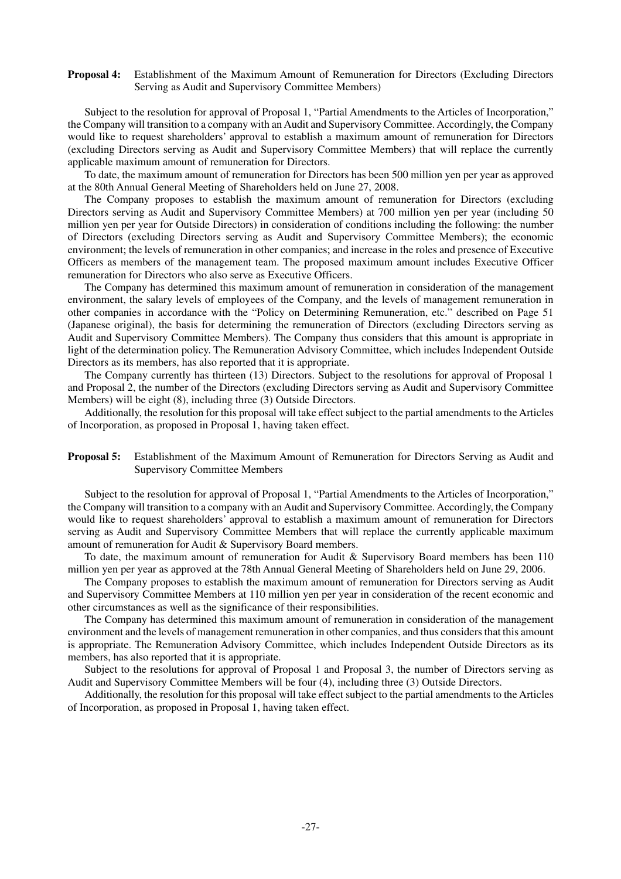#### **Proposal 4:** Establishment of the Maximum Amount of Remuneration for Directors (Excluding Directors Serving as Audit and Supervisory Committee Members)

Subject to the resolution for approval of Proposal 1, "Partial Amendments to the Articles of Incorporation," the Company will transition to a company with an Audit and Supervisory Committee. Accordingly, the Company would like to request shareholders' approval to establish a maximum amount of remuneration for Directors (excluding Directors serving as Audit and Supervisory Committee Members) that will replace the currently applicable maximum amount of remuneration for Directors.

To date, the maximum amount of remuneration for Directors has been 500 million yen per year as approved at the 80th Annual General Meeting of Shareholders held on June 27, 2008.

The Company proposes to establish the maximum amount of remuneration for Directors (excluding Directors serving as Audit and Supervisory Committee Members) at 700 million yen per year (including 50 million yen per year for Outside Directors) in consideration of conditions including the following: the number of Directors (excluding Directors serving as Audit and Supervisory Committee Members); the economic environment; the levels of remuneration in other companies; and increase in the roles and presence of Executive Officers as members of the management team. The proposed maximum amount includes Executive Officer remuneration for Directors who also serve as Executive Officers.

The Company has determined this maximum amount of remuneration in consideration of the management environment, the salary levels of employees of the Company, and the levels of management remuneration in other companies in accordance with the "Policy on Determining Remuneration, etc." described on Page 51 (Japanese original), the basis for determining the remuneration of Directors (excluding Directors serving as Audit and Supervisory Committee Members). The Company thus considers that this amount is appropriate in light of the determination policy. The Remuneration Advisory Committee, which includes Independent Outside Directors as its members, has also reported that it is appropriate.

The Company currently has thirteen (13) Directors. Subject to the resolutions for approval of Proposal 1 and Proposal 2, the number of the Directors (excluding Directors serving as Audit and Supervisory Committee Members) will be eight (8), including three (3) Outside Directors.

Additionally, the resolution for this proposal will take effect subject to the partial amendments to the Articles of Incorporation, as proposed in Proposal 1, having taken effect.

#### **Proposal 5:** Establishment of the Maximum Amount of Remuneration for Directors Serving as Audit and Supervisory Committee Members

Subject to the resolution for approval of Proposal 1, "Partial Amendments to the Articles of Incorporation," the Company will transition to a company with an Audit and Supervisory Committee. Accordingly, the Company would like to request shareholders' approval to establish a maximum amount of remuneration for Directors serving as Audit and Supervisory Committee Members that will replace the currently applicable maximum amount of remuneration for Audit & Supervisory Board members.

To date, the maximum amount of remuneration for Audit  $\&$  Supervisory Board members has been 110 million yen per year as approved at the 78th Annual General Meeting of Shareholders held on June 29, 2006.

The Company proposes to establish the maximum amount of remuneration for Directors serving as Audit and Supervisory Committee Members at 110 million yen per year in consideration of the recent economic and other circumstances as well as the significance of their responsibilities.

The Company has determined this maximum amount of remuneration in consideration of the management environment and the levels of management remuneration in other companies, and thus considers that this amount is appropriate. The Remuneration Advisory Committee, which includes Independent Outside Directors as its members, has also reported that it is appropriate.

Subject to the resolutions for approval of Proposal 1 and Proposal 3, the number of Directors serving as Audit and Supervisory Committee Members will be four (4), including three (3) Outside Directors.

Additionally, the resolution for this proposal will take effect subject to the partial amendments to the Articles of Incorporation, as proposed in Proposal 1, having taken effect.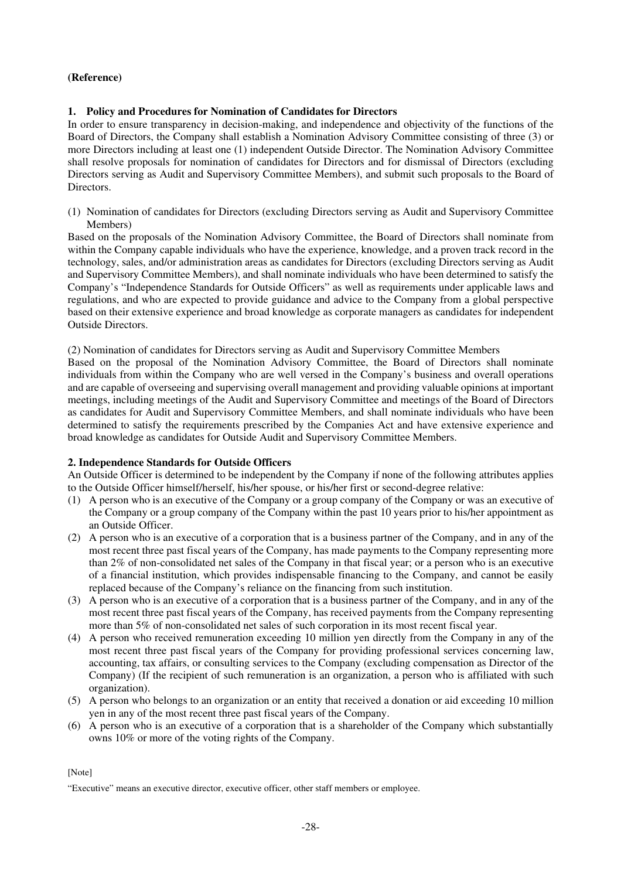### **(Reference)**

#### **1. Policy and Procedures for Nomination of Candidates for Directors**

In order to ensure transparency in decision-making, and independence and objectivity of the functions of the Board of Directors, the Company shall establish a Nomination Advisory Committee consisting of three (3) or more Directors including at least one (1) independent Outside Director. The Nomination Advisory Committee shall resolve proposals for nomination of candidates for Directors and for dismissal of Directors (excluding Directors serving as Audit and Supervisory Committee Members), and submit such proposals to the Board of Directors.

(1) Nomination of candidates for Directors (excluding Directors serving as Audit and Supervisory Committee Members)

Based on the proposals of the Nomination Advisory Committee, the Board of Directors shall nominate from within the Company capable individuals who have the experience, knowledge, and a proven track record in the technology, sales, and/or administration areas as candidates for Directors (excluding Directors serving as Audit and Supervisory Committee Members), and shall nominate individuals who have been determined to satisfy the Company's "Independence Standards for Outside Officers" as well as requirements under applicable laws and regulations, and who are expected to provide guidance and advice to the Company from a global perspective based on their extensive experience and broad knowledge as corporate managers as candidates for independent Outside Directors.

(2) Nomination of candidates for Directors serving as Audit and Supervisory Committee Members

Based on the proposal of the Nomination Advisory Committee, the Board of Directors shall nominate individuals from within the Company who are well versed in the Company's business and overall operations and are capable of overseeing and supervising overall management and providing valuable opinions at important meetings, including meetings of the Audit and Supervisory Committee and meetings of the Board of Directors as candidates for Audit and Supervisory Committee Members, and shall nominate individuals who have been determined to satisfy the requirements prescribed by the Companies Act and have extensive experience and broad knowledge as candidates for Outside Audit and Supervisory Committee Members.

#### **2. Independence Standards for Outside Officers**

An Outside Officer is determined to be independent by the Company if none of the following attributes applies to the Outside Officer himself/herself, his/her spouse, or his/her first or second-degree relative:

- (1) A person who is an executive of the Company or a group company of the Company or was an executive of the Company or a group company of the Company within the past 10 years prior to his/her appointment as an Outside Officer.
- (2) A person who is an executive of a corporation that is a business partner of the Company, and in any of the most recent three past fiscal years of the Company, has made payments to the Company representing more than 2% of non-consolidated net sales of the Company in that fiscal year; or a person who is an executive of a financial institution, which provides indispensable financing to the Company, and cannot be easily replaced because of the Company's reliance on the financing from such institution.
- (3) A person who is an executive of a corporation that is a business partner of the Company, and in any of the most recent three past fiscal years of the Company, has received payments from the Company representing more than 5% of non-consolidated net sales of such corporation in its most recent fiscal year.
- (4) A person who received remuneration exceeding 10 million yen directly from the Company in any of the most recent three past fiscal years of the Company for providing professional services concerning law, accounting, tax affairs, or consulting services to the Company (excluding compensation as Director of the Company) (If the recipient of such remuneration is an organization, a person who is affiliated with such organization).
- (5) A person who belongs to an organization or an entity that received a donation or aid exceeding 10 million yen in any of the most recent three past fiscal years of the Company.
- (6) A person who is an executive of a corporation that is a shareholder of the Company which substantially owns 10% or more of the voting rights of the Company.

[Note]

"Executive" means an executive director, executive officer, other staff members or employee.